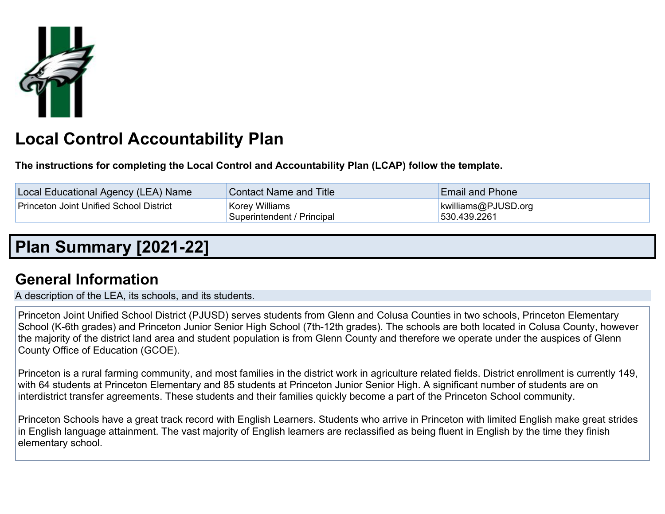

# **Local Control Accountability Plan**

**The instructions for completing the Local Control and Accountability Plan (LCAP) follow the template.**

| Local Educational Agency (LEA) Name            | <b>Contact Name and Title</b>                       | <b>Email and Phone</b>              |
|------------------------------------------------|-----------------------------------------------------|-------------------------------------|
| <b>Princeton Joint Unified School District</b> | <b>Korey Williams</b><br>Superintendent / Principal | kwilliams@PJUSD.org<br>530.439.2261 |

## **Plan Summary [2021-22]**

## **General Information**

A description of the LEA, its schools, and its students.

Princeton Joint Unified School District (PJUSD) serves students from Glenn and Colusa Counties in two schools, Princeton Elementary School (K-6th grades) and Princeton Junior Senior High School (7th-12th grades). The schools are both located in Colusa County, however the majority of the district land area and student population is from Glenn County and therefore we operate under the auspices of Glenn County Office of Education (GCOE).

Princeton is a rural farming community, and most families in the district work in agriculture related fields. District enrollment is currently 149, with 64 students at Princeton Elementary and 85 students at Princeton Junior Senior High. A significant number of students are on interdistrict transfer agreements. These students and their families quickly become a part of the Princeton School community.

Princeton Schools have a great track record with English Learners. Students who arrive in Princeton with limited English make great strides in English language attainment. The vast majority of English learners are reclassified as being fluent in English by the time they finish elementary school.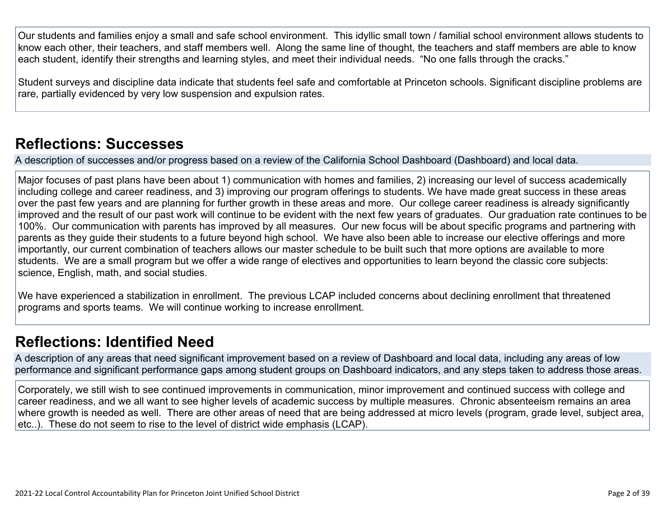Our students and families enjoy a small and safe school environment. This idyllic small town / familial school environment allows students to know each other, their teachers, and staff members well. Along the same line of thought, the teachers and staff members are able to know each student, identify their strengths and learning styles, and meet their individual needs. "No one falls through the cracks."

Student surveys and discipline data indicate that students feel safe and comfortable at Princeton schools. Significant discipline problems are rare, partially evidenced by very low suspension and expulsion rates.

### **Reflections: Successes**

A description of successes and/or progress based on a review of the California School Dashboard (Dashboard) and local data.

Major focuses of past plans have been about 1) communication with homes and families, 2) increasing our level of success academically including college and career readiness, and 3) improving our program offerings to students. We have made great success in these areas over the past few years and are planning for further growth in these areas and more. Our college career readiness is already significantly improved and the result of our past work will continue to be evident with the next few years of graduates. Our graduation rate continues to be 100%. Our communication with parents has improved by all measures. Our new focus will be about specific programs and partnering with parents as they guide their students to a future beyond high school. We have also been able to increase our elective offerings and more importantly, our current combination of teachers allows our master schedule to be built such that more options are available to more students. We are a small program but we offer a wide range of electives and opportunities to learn beyond the classic core subjects: science, English, math, and social studies.

We have experienced a stabilization in enrollment. The previous LCAP included concerns about declining enrollment that threatened programs and sports teams. We will continue working to increase enrollment.

### **Reflections: Identified Need**

A description of any areas that need significant improvement based on a review of Dashboard and local data, including any areas of low performance and significant performance gaps among student groups on Dashboard indicators, and any steps taken to address those areas.

Corporately, we still wish to see continued improvements in communication, minor improvement and continued success with college and career readiness, and we all want to see higher levels of academic success by multiple measures. Chronic absenteeism remains an area where growth is needed as well. There are other areas of need that are being addressed at micro levels (program, grade level, subject area, etc..). These do not seem to rise to the level of district wide emphasis (LCAP).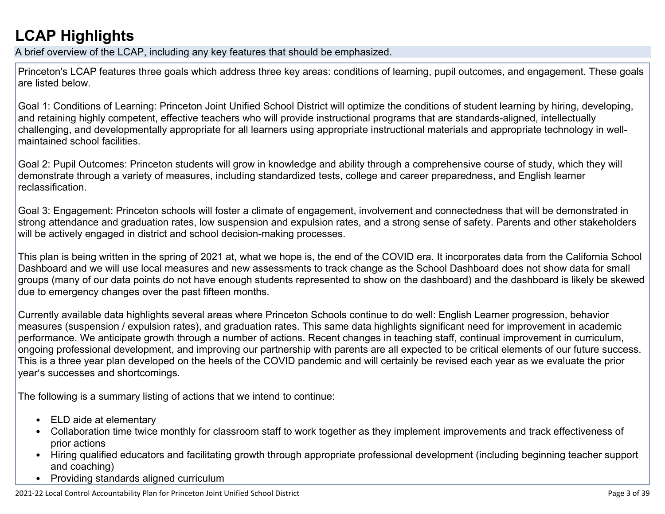## **LCAP Highlights**

A brief overview of the LCAP, including any key features that should be emphasized.

Princeton's LCAP features three goals which address three key areas: conditions of learning, pupil outcomes, and engagement. These goals are listed below.

Goal 1: Conditions of Learning: Princeton Joint Unified School District will optimize the conditions of student learning by hiring, developing, and retaining highly competent, effective teachers who will provide instructional programs that are standards-aligned, intellectually challenging, and developmentally appropriate for all learners using appropriate instructional materials and appropriate technology in wellmaintained school facilities.

Goal 2: Pupil Outcomes: Princeton students will grow in knowledge and ability through a comprehensive course of study, which they will demonstrate through a variety of measures, including standardized tests, college and career preparedness, and English learner reclassification.

Goal 3: Engagement: Princeton schools will foster a climate of engagement, involvement and connectedness that will be demonstrated in strong attendance and graduation rates, low suspension and expulsion rates, and a strong sense of safety. Parents and other stakeholders will be actively engaged in district and school decision-making processes.

This plan is being written in the spring of 2021 at, what we hope is, the end of the COVID era. It incorporates data from the California School Dashboard and we will use local measures and new assessments to track change as the School Dashboard does not show data for small groups (many of our data points do not have enough students represented to show on the dashboard) and the dashboard is likely be skewed due to emergency changes over the past fifteen months.

Currently available data highlights several areas where Princeton Schools continue to do well: English Learner progression, behavior measures (suspension / expulsion rates), and graduation rates. This same data highlights significant need for improvement in academic performance. We anticipate growth through a number of actions. Recent changes in teaching staff, continual improvement in curriculum, ongoing professional development, and improving our partnership with parents are all expected to be critical elements of our future success. This is a three year plan developed on the heels of the COVID pandemic and will certainly be revised each year as we evaluate the prior year's successes and shortcomings.

The following is a summary listing of actions that we intend to continue:

- ELD aide at elementary
- Collaboration time twice monthly for classroom staff to work together as they implement improvements and track effectiveness of prior actions
- Hiring qualified educators and facilitating growth through appropriate professional development (including beginning teacher support and coaching)
- Providing standards aligned curriculum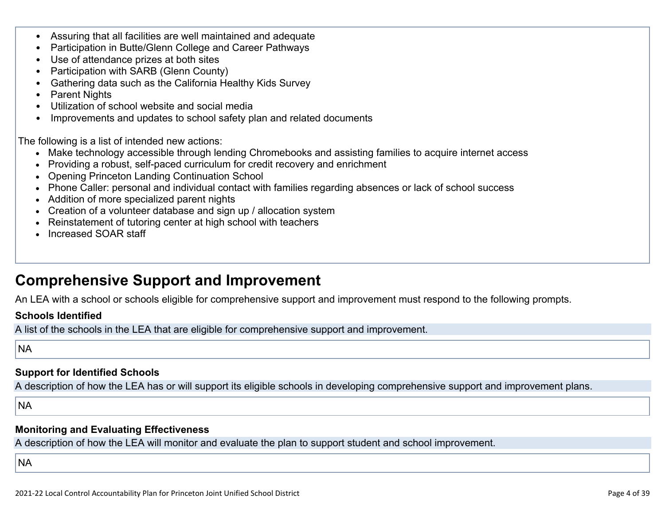- Assuring that all facilities are well maintained and adequate
- Participation in Butte/Glenn College and Career Pathways
- Use of attendance prizes at both sites
- Participation with SARB (Glenn County)
- Gathering data such as the California Healthy Kids Survey
- Parent Nights
- Utilization of school website and social media
- Improvements and updates to school safety plan and related documents

The following is a list of intended new actions:

- Make technology accessible through lending Chromebooks and assisting families to acquire internet access
- Providing a robust, self-paced curriculum for credit recovery and enrichment
- Opening Princeton Landing Continuation School
- Phone Caller: personal and individual contact with families regarding absences or lack of school success
- Addition of more specialized parent nights
- Creation of a volunteer database and sign up / allocation system
- Reinstatement of tutoring center at high school with teachers
- Increased SOAR staff

### **Comprehensive Support and Improvement**

An LEA with a school or schools eligible for comprehensive support and improvement must respond to the following prompts.

#### **Schools Identified**

A list of the schools in the LEA that are eligible for comprehensive support and improvement.

**NA** 

#### **Support for Identified Schools**

A description of how the LEA has or will support its eligible schools in developing comprehensive support and improvement plans.

NA

#### **Monitoring and Evaluating Effectiveness**

A description of how the LEA will monitor and evaluate the plan to support student and school improvement.

**NA**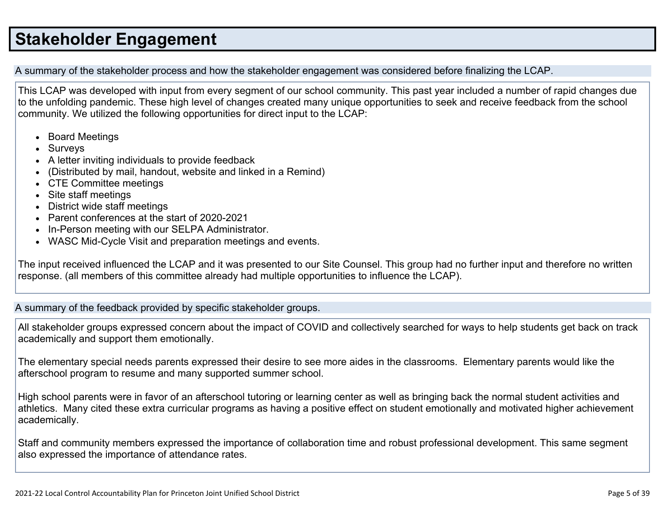## **Stakeholder Engagement**

A summary of the stakeholder process and how the stakeholder engagement was considered before finalizing the LCAP.

This LCAP was developed with input from every segment of our school community. This past year included a number of rapid changes due to the unfolding pandemic. These high level of changes created many unique opportunities to seek and receive feedback from the school community. We utilized the following opportunities for direct input to the LCAP:

- Board Meetings
- Surveys
- A letter inviting individuals to provide feedback
- (Distributed by mail, handout, website and linked in a Remind)
- CTE Committee meetings
- Site staff meetings
- District wide staff meetings
- Parent conferences at the start of 2020-2021
- In-Person meeting with our SELPA Administrator.
- WASC Mid-Cycle Visit and preparation meetings and events.

The input received influenced the LCAP and it was presented to our Site Counsel. This group had no further input and therefore no written response. (all members of this committee already had multiple opportunities to influence the LCAP).

A summary of the feedback provided by specific stakeholder groups.

All stakeholder groups expressed concern about the impact of COVID and collectively searched for ways to help students get back on track academically and support them emotionally.

The elementary special needs parents expressed their desire to see more aides in the classrooms. Elementary parents would like the afterschool program to resume and many supported summer school.

High school parents were in favor of an afterschool tutoring or learning center as well as bringing back the normal student activities and athletics. Many cited these extra curricular programs as having a positive effect on student emotionally and motivated higher achievement academically.

Staff and community members expressed the importance of collaboration time and robust professional development. This same segment also expressed the importance of attendance rates.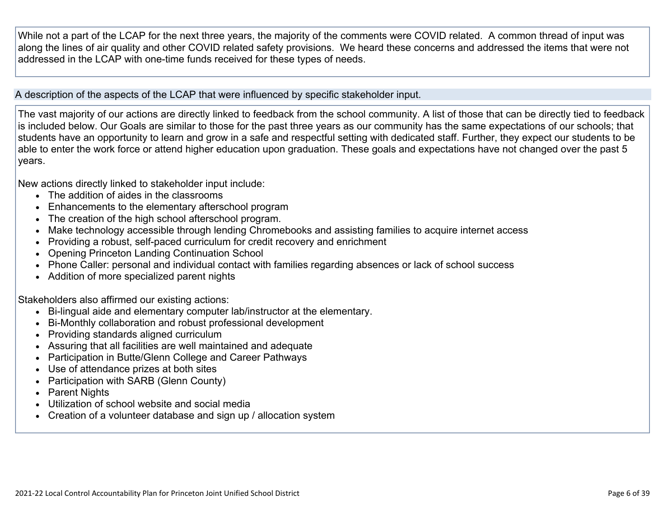While not a part of the LCAP for the next three years, the majority of the comments were COVID related. A common thread of input was along the lines of air quality and other COVID related safety provisions. We heard these concerns and addressed the items that were not addressed in the LCAP with one-time funds received for these types of needs.

A description of the aspects of the LCAP that were influenced by specific stakeholder input.

The vast majority of our actions are directly linked to feedback from the school community. A list of those that can be directly tied to feedback is included below. Our Goals are similar to those for the past three years as our community has the same expectations of our schools; that students have an opportunity to learn and grow in a safe and respectful setting with dedicated staff. Further, they expect our students to be able to enter the work force or attend higher education upon graduation. These goals and expectations have not changed over the past 5 years.

New actions directly linked to stakeholder input include:

- The addition of aides in the classrooms
- Enhancements to the elementary afterschool program
- The creation of the high school afterschool program.
- Make technology accessible through lending Chromebooks and assisting families to acquire internet access
- Providing a robust, self-paced curriculum for credit recovery and enrichment
- Opening Princeton Landing Continuation School
- Phone Caller: personal and individual contact with families regarding absences or lack of school success
- Addition of more specialized parent nights

Stakeholders also affirmed our existing actions:

- Bi-lingual aide and elementary computer lab/instructor at the elementary.
- Bi-Monthly collaboration and robust professional development
- Providing standards aligned curriculum
- Assuring that all facilities are well maintained and adequate
- Participation in Butte/Glenn College and Career Pathways
- Use of attendance prizes at both sites
- Participation with SARB (Glenn County)
- Parent Nights
- Utilization of school website and social media
- Creation of a volunteer database and sign up / allocation system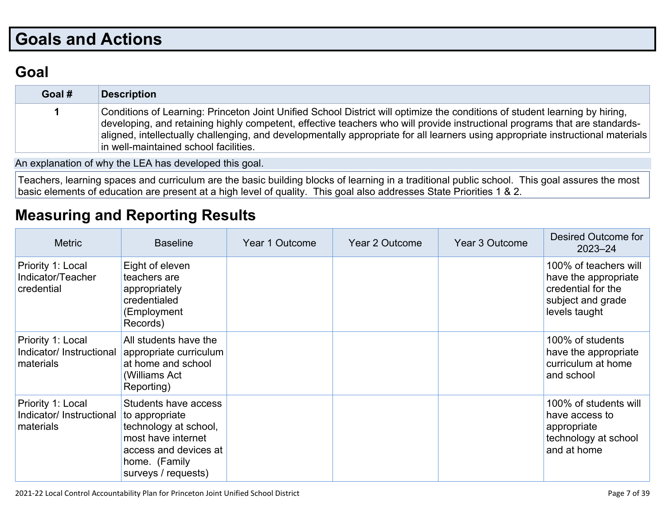## **Goals and Actions**

## **Goal**

| Goal # | <b>Description</b>                                                                                                                                                                                                                                                                                                                                                                                                                    |
|--------|---------------------------------------------------------------------------------------------------------------------------------------------------------------------------------------------------------------------------------------------------------------------------------------------------------------------------------------------------------------------------------------------------------------------------------------|
|        | Conditions of Learning: Princeton Joint Unified School District will optimize the conditions of student learning by hiring,<br>developing, and retaining highly competent, effective teachers who will provide instructional programs that are standards-<br>aligned, intellectually challenging, and developmentally appropriate for all learners using appropriate instructional materials<br>in well-maintained school facilities. |

An explanation of why the LEA has developed this goal.

Teachers, learning spaces and curriculum are the basic building blocks of learning in a traditional public school. This goal assures the most basic elements of education are present at a high level of quality. This goal also addresses State Priorities 1 & 2.

## **Measuring and Reporting Results**

| <b>Metric</b>                                              | <b>Baseline</b>                                                                                                                                        | Year 1 Outcome | Year 2 Outcome | <b>Year 3 Outcome</b> | Desired Outcome for<br>$2023 - 24$                                                                        |
|------------------------------------------------------------|--------------------------------------------------------------------------------------------------------------------------------------------------------|----------------|----------------|-----------------------|-----------------------------------------------------------------------------------------------------------|
| Priority 1: Local<br>Indicator/Teacher<br>credential       | Eight of eleven<br>teachers are<br>appropriately<br>credentialed<br>(Employment<br>Records)                                                            |                |                |                       | 100% of teachers will<br>have the appropriate<br>credential for the<br>subject and grade<br>levels taught |
| Priority 1: Local<br>Indicator/ Instructional<br>materials | All students have the<br>appropriate curriculum<br>at home and school<br>(Williams Act)<br>Reporting)                                                  |                |                |                       | 100% of students<br>have the appropriate<br>curriculum at home<br>and school                              |
| Priority 1: Local<br>Indicator/ Instructional<br>materials | Students have access<br>to appropriate<br>technology at school,<br>most have internet<br>access and devices at<br>home. (Family<br>surveys / requests) |                |                |                       | 100% of students will<br>have access to<br>appropriate<br>technology at school<br>and at home             |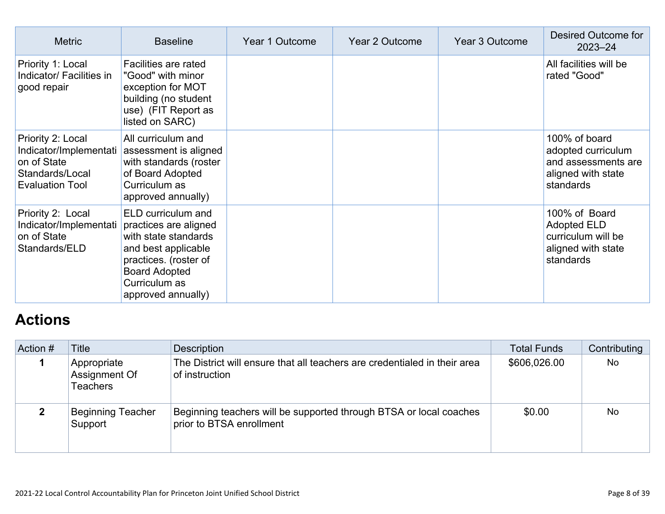| <b>Metric</b>                                                                                           | <b>Baseline</b>                                                                                                                                                                    | Year 1 Outcome | <b>Year 2 Outcome</b> | Year 3 Outcome | Desired Outcome for<br>$2023 - 24$                                                            |
|---------------------------------------------------------------------------------------------------------|------------------------------------------------------------------------------------------------------------------------------------------------------------------------------------|----------------|-----------------------|----------------|-----------------------------------------------------------------------------------------------|
| Priority 1: Local<br>Indicator/ Facilities in<br>good repair                                            | Facilities are rated<br>"Good" with minor<br>exception for MOT<br>building (no student<br>use) (FIT Report as<br>listed on SARC)                                                   |                |                       |                | All facilities will be<br>rated "Good"                                                        |
| Priority 2: Local<br>Indicator/Implementati<br>on of State<br>Standards/Local<br><b>Evaluation Tool</b> | All curriculum and<br>assessment is aligned<br>with standards (roster<br>of Board Adopted<br>Curriculum as<br>approved annually)                                                   |                |                       |                | 100% of board<br>adopted curriculum<br>and assessments are<br>aligned with state<br>standards |
| Priority 2: Local<br>Indicator/Implementati<br>on of State<br>Standards/ELD                             | ELD curriculum and<br>practices are aligned<br>with state standards<br>and best applicable<br>practices. (roster of<br><b>Board Adopted</b><br>Curriculum as<br>approved annually) |                |                       |                | 100% of Board<br><b>Adopted ELD</b><br>curriculum will be<br>aligned with state<br>standards  |

## **Actions**

| Action # | Title                                           | <b>Description</b>                                                                             | <b>Total Funds</b> | Contributing |
|----------|-------------------------------------------------|------------------------------------------------------------------------------------------------|--------------------|--------------|
|          | Appropriate<br>Assignment Of<br><b>Teachers</b> | The District will ensure that all teachers are credentialed in their area<br>of instruction    | \$606,026.00       | No           |
|          | <b>Beginning Teacher</b><br>Support             | Beginning teachers will be supported through BTSA or local coaches<br>prior to BTSA enrollment | \$0.00             | <b>No</b>    |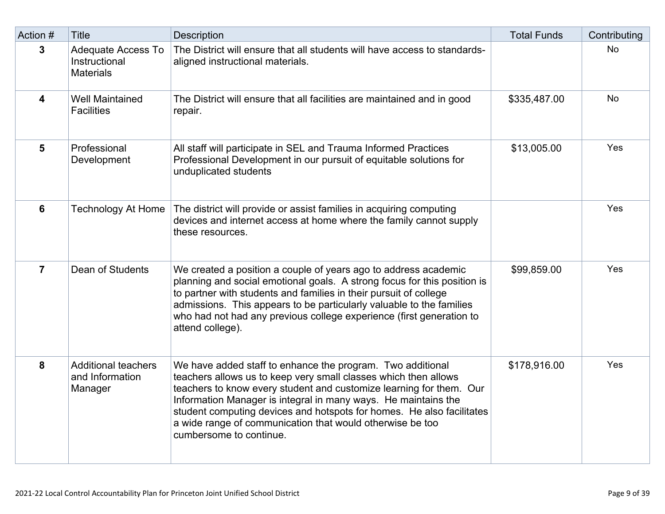| Action #       | <b>Title</b>                                                   | <b>Description</b>                                                                                                                                                                                                                                                                                                                                                                                                                      | <b>Total Funds</b> | Contributing |
|----------------|----------------------------------------------------------------|-----------------------------------------------------------------------------------------------------------------------------------------------------------------------------------------------------------------------------------------------------------------------------------------------------------------------------------------------------------------------------------------------------------------------------------------|--------------------|--------------|
| 3              | <b>Adequate Access To</b><br>Instructional<br><b>Materials</b> | The District will ensure that all students will have access to standards-<br>aligned instructional materials.                                                                                                                                                                                                                                                                                                                           |                    | No           |
| 4              | <b>Well Maintained</b><br><b>Facilities</b>                    | The District will ensure that all facilities are maintained and in good<br>repair.                                                                                                                                                                                                                                                                                                                                                      | \$335,487.00       | <b>No</b>    |
| 5              | Professional<br>Development                                    | All staff will participate in SEL and Trauma Informed Practices<br>Professional Development in our pursuit of equitable solutions for<br>unduplicated students                                                                                                                                                                                                                                                                          | \$13,005.00        | Yes          |
| $6\phantom{1}$ | <b>Technology At Home</b>                                      | The district will provide or assist families in acquiring computing<br>devices and internet access at home where the family cannot supply<br>these resources.                                                                                                                                                                                                                                                                           |                    | Yes          |
| $\overline{7}$ | Dean of Students                                               | We created a position a couple of years ago to address academic<br>planning and social emotional goals. A strong focus for this position is<br>to partner with students and families in their pursuit of college<br>admissions. This appears to be particularly valuable to the families<br>who had not had any previous college experience (first generation to<br>attend college).                                                    | \$99,859.00        | Yes          |
| 8              | <b>Additional teachers</b><br>and Information<br>Manager       | We have added staff to enhance the program. Two additional<br>teachers allows us to keep very small classes which then allows<br>teachers to know every student and customize learning for them. Our<br>Information Manager is integral in many ways. He maintains the<br>student computing devices and hotspots for homes. He also facilitates<br>a wide range of communication that would otherwise be too<br>cumbersome to continue. | \$178,916.00       | Yes          |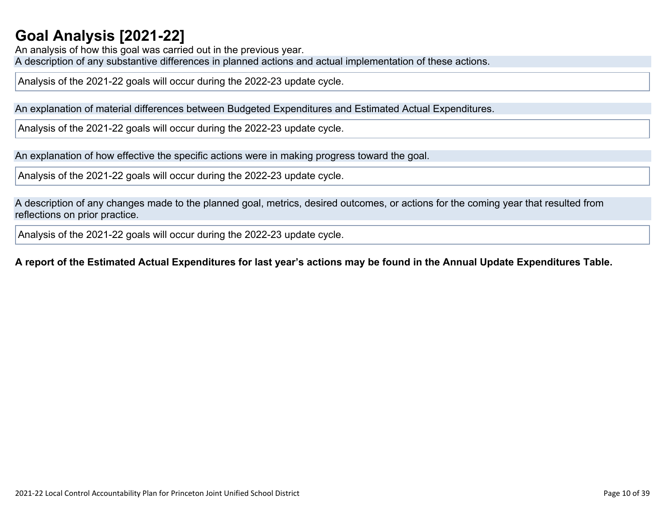## **Goal Analysis [2021-22]**

An analysis of how this goal was carried out in the previous year. A description of any substantive differences in planned actions and actual implementation of these actions.

Analysis of the 2021-22 goals will occur during the 2022-23 update cycle.

An explanation of material differences between Budgeted Expenditures and Estimated Actual Expenditures.

Analysis of the 2021-22 goals will occur during the 2022-23 update cycle.

An explanation of how effective the specific actions were in making progress toward the goal.

Analysis of the 2021-22 goals will occur during the 2022-23 update cycle.

A description of any changes made to the planned goal, metrics, desired outcomes, or actions for the coming year that resulted from reflections on prior practice.

Analysis of the 2021-22 goals will occur during the 2022-23 update cycle.

#### A report of the Estimated Actual Expenditures for last year's actions may be found in the Annual Update Expenditures Table.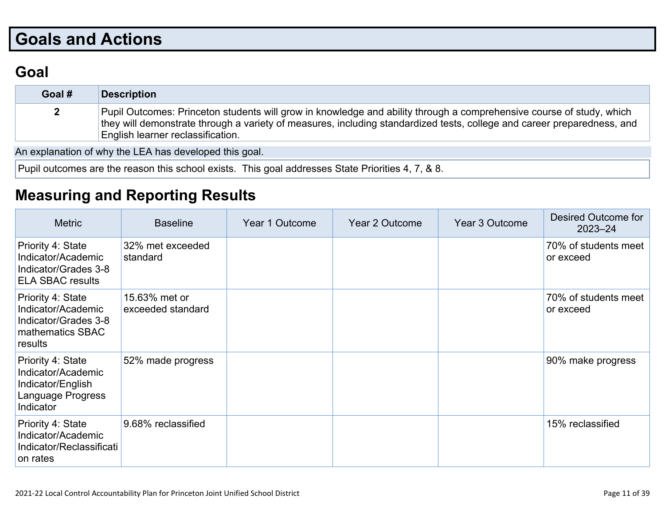# **Goals and Actions**

## **Goal**

| Goal # | <b>Description</b>                                                                                                                                                                                                                                                                   |
|--------|--------------------------------------------------------------------------------------------------------------------------------------------------------------------------------------------------------------------------------------------------------------------------------------|
|        | Pupil Outcomes: Princeton students will grow in knowledge and ability through a comprehensive course of study, which<br>they will demonstrate through a variety of measures, including standardized tests, college and career preparedness, and<br>English learner reclassification. |

An explanation of why the LEA has developed this goal.

Pupil outcomes are the reason this school exists. This goal addresses State Priorities 4, 7, & 8.

### **Measuring and Reporting Results**

| <b>Metric</b>                                                                                  | <b>Baseline</b>                    | Year 1 Outcome | Year 2 Outcome | Year 3 Outcome | <b>Desired Outcome for</b><br>$2023 - 24$ |
|------------------------------------------------------------------------------------------------|------------------------------------|----------------|----------------|----------------|-------------------------------------------|
| Priority 4: State<br>Indicator/Academic<br>Indicator/Grades 3-8<br><b>ELA SBAC results</b>     | 32% met exceeded<br>standard       |                |                |                | 70% of students meet<br>or exceed         |
| Priority 4: State<br>Indicator/Academic<br>Indicator/Grades 3-8<br>mathematics SBAC<br>results | 15.63% met or<br>exceeded standard |                |                |                | 70% of students meet<br>or exceed         |
| Priority 4: State<br>Indicator/Academic<br>Indicator/English<br>Language Progress<br>Indicator | 52% made progress                  |                |                |                | 90% make progress                         |
| Priority 4: State<br>Indicator/Academic<br>Indicator/Reclassificati<br>on rates                | 9.68% reclassified                 |                |                |                | 15% reclassified                          |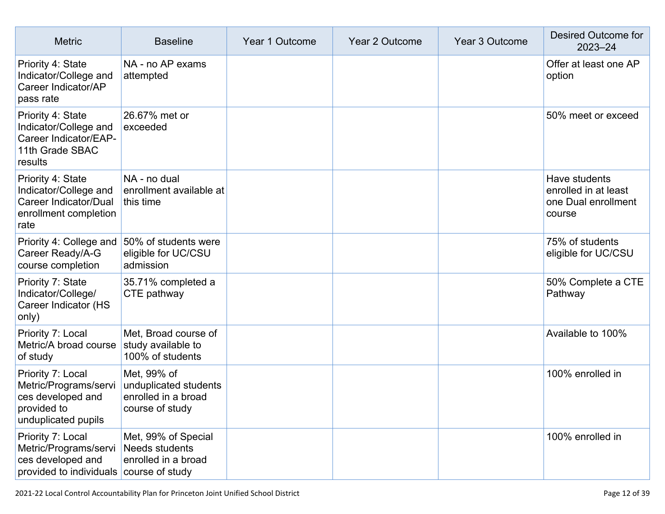| <b>Metric</b>                                                                                              | <b>Baseline</b>                                                                | Year 1 Outcome | Year 2 Outcome | Year 3 Outcome | Desired Outcome for<br>2023-24                                         |
|------------------------------------------------------------------------------------------------------------|--------------------------------------------------------------------------------|----------------|----------------|----------------|------------------------------------------------------------------------|
| Priority 4: State<br>Indicator/College and<br>Career Indicator/AP<br>pass rate                             | NA - no AP exams<br>attempted                                                  |                |                |                | Offer at least one AP<br>option                                        |
| Priority 4: State<br>Indicator/College and<br>Career Indicator/EAP-<br>11th Grade SBAC<br>results          | 26.67% met or<br>exceeded                                                      |                |                |                | 50% meet or exceed                                                     |
| Priority 4: State<br>Indicator/College and<br>Career Indicator/Dual<br>enrollment completion<br>rate       | NA - no dual<br>enrollment available at<br>this time                           |                |                |                | Have students<br>enrolled in at least<br>one Dual enrollment<br>course |
| Priority 4: College and<br>Career Ready/A-G<br>course completion                                           | 50% of students were<br>eligible for UC/CSU<br>admission                       |                |                |                | 75% of students<br>eligible for UC/CSU                                 |
| Priority 7: State<br>Indicator/College/<br>Career Indicator (HS<br>only)                                   | 35.71% completed a<br>CTE pathway                                              |                |                |                | 50% Complete a CTE<br>Pathway                                          |
| Priority 7: Local<br>Metric/A broad course<br>of study                                                     | Met, Broad course of<br>study available to<br>100% of students                 |                |                |                | Available to 100%                                                      |
| Priority 7: Local<br>Metric/Programs/servi<br>ces developed and<br>provided to<br>unduplicated pupils      | Met, 99% of<br>unduplicated students<br>enrolled in a broad<br>course of study |                |                |                | 100% enrolled in                                                       |
| Priority 7: Local<br>Metric/Programs/servi<br>ces developed and<br>provided to individuals course of study | Met, 99% of Special<br><b>Needs students</b><br>enrolled in a broad            |                |                |                | 100% enrolled in                                                       |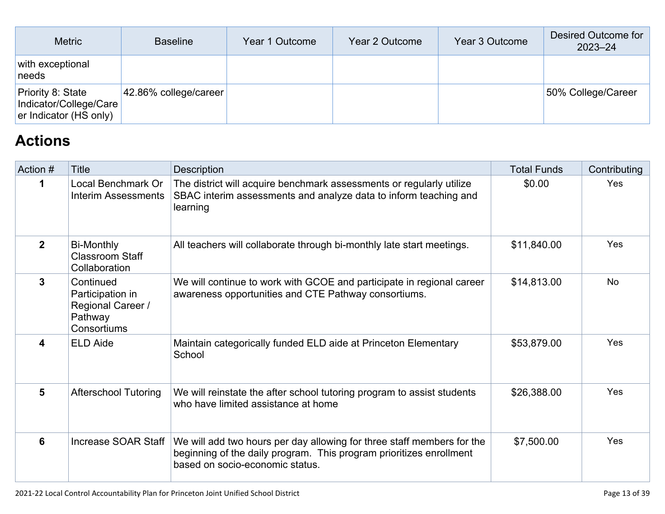| <b>Metric</b>                                                                | <b>Baseline</b>           | Year 1 Outcome | Year 2 Outcome | Year 3 Outcome | Desired Outcome for<br>$2023 - 24$ |
|------------------------------------------------------------------------------|---------------------------|----------------|----------------|----------------|------------------------------------|
| with exceptional<br>needs                                                    |                           |                |                |                |                                    |
| <b>Priority 8: State</b><br>Indicator/College/Care<br>er Indicator (HS only) | $ 42.86\%$ college/career |                |                |                | 50% College/Career                 |

## **Actions**

| Action #     | Title                                                                        | Description                                                                                                                                                                      | <b>Total Funds</b> | Contributing |
|--------------|------------------------------------------------------------------------------|----------------------------------------------------------------------------------------------------------------------------------------------------------------------------------|--------------------|--------------|
| 1            | Local Benchmark Or<br>Interim Assessments                                    | The district will acquire benchmark assessments or regularly utilize<br>SBAC interim assessments and analyze data to inform teaching and<br>learning                             | \$0.00             | Yes          |
| $\mathbf{2}$ | Bi-Monthly<br><b>Classroom Staff</b><br>Collaboration                        | All teachers will collaborate through bi-monthly late start meetings.                                                                                                            | \$11,840.00        | Yes          |
| $\mathbf{3}$ | Continued<br>Participation in<br>Regional Career /<br>Pathway<br>Consortiums | We will continue to work with GCOE and participate in regional career<br>awareness opportunities and CTE Pathway consortiums.                                                    | \$14,813.00        | No.          |
| 4            | <b>ELD Aide</b>                                                              | Maintain categorically funded ELD aide at Princeton Elementary<br>School                                                                                                         | \$53,879.00        | <b>Yes</b>   |
| 5            | <b>Afterschool Tutoring</b>                                                  | We will reinstate the after school tutoring program to assist students<br>who have limited assistance at home                                                                    | \$26,388.00        | <b>Yes</b>   |
| 6            | Increase SOAR Staff                                                          | We will add two hours per day allowing for three staff members for the<br>beginning of the daily program. This program prioritizes enrollment<br>based on socio-economic status. | \$7,500.00         | Yes          |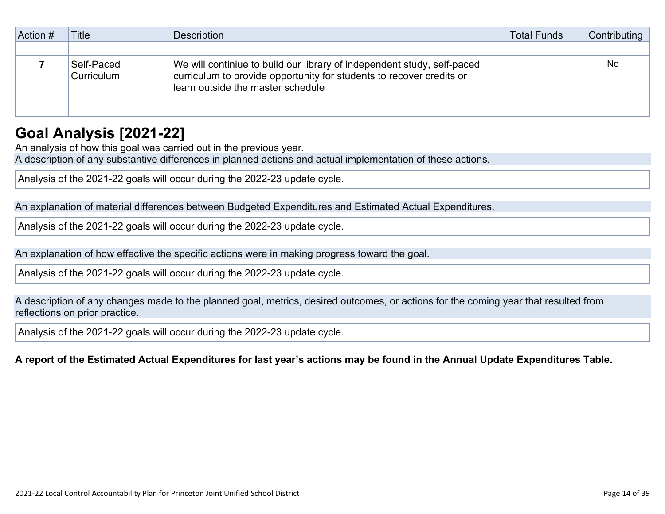| Action # | Title                    | Description                                                                                                                                                                          | <b>Total Funds</b> | Contributing |
|----------|--------------------------|--------------------------------------------------------------------------------------------------------------------------------------------------------------------------------------|--------------------|--------------|
|          |                          |                                                                                                                                                                                      |                    |              |
|          | Self-Paced<br>Curriculum | We will continiue to build our library of independent study, self-paced<br>curriculum to provide opportunity for students to recover credits or<br>learn outside the master schedule |                    | No           |

### **Goal Analysis [2021-22]**

An analysis of how this goal was carried out in the previous year.

A description of any substantive differences in planned actions and actual implementation of these actions.

Analysis of the 2021-22 goals will occur during the 2022-23 update cycle.

An explanation of material differences between Budgeted Expenditures and Estimated Actual Expenditures.

Analysis of the 2021-22 goals will occur during the 2022-23 update cycle.

An explanation of how effective the specific actions were in making progress toward the goal.

Analysis of the 2021-22 goals will occur during the 2022-23 update cycle.

A description of any changes made to the planned goal, metrics, desired outcomes, or actions for the coming year that resulted from reflections on prior practice.

Analysis of the 2021-22 goals will occur during the 2022-23 update cycle.

#### A report of the Estimated Actual Expenditures for last year's actions may be found in the Annual Update Expenditures Table.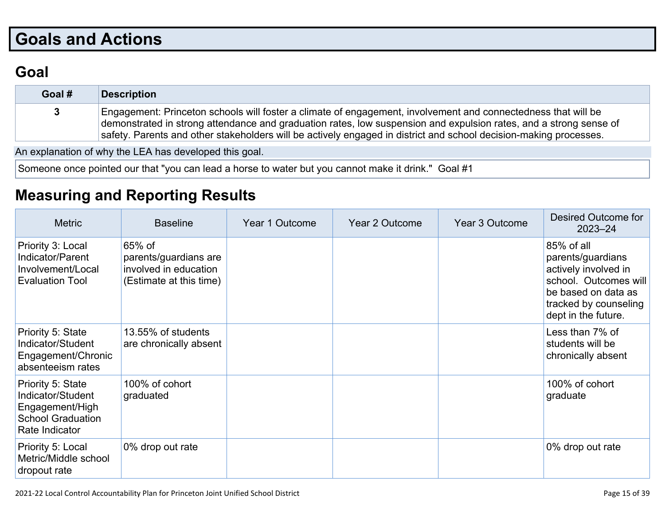# **Goals and Actions**

## **Goal**

| Goal #      | <b>Description</b>                                                                                                                                                                                                                                                                                                                                      |
|-------------|---------------------------------------------------------------------------------------------------------------------------------------------------------------------------------------------------------------------------------------------------------------------------------------------------------------------------------------------------------|
| $3^{\circ}$ | Engagement: Princeton schools will foster a climate of engagement, involvement and connectedness that will be<br>demonstrated in strong attendance and graduation rates, low suspension and expulsion rates, and a strong sense of<br>safety. Parents and other stakeholders will be actively engaged in district and school decision-making processes. |

An explanation of why the LEA has developed this goal.

Someone once pointed our that "you can lead a horse to water but you cannot make it drink." Goal #1

## **Measuring and Reporting Results**

| <b>Metric</b>                                                                                           | <b>Baseline</b>                                                                     | Year 1 Outcome | Year 2 Outcome | Year 3 Outcome | Desired Outcome for<br>$2023 - 24$                                                                                                                      |
|---------------------------------------------------------------------------------------------------------|-------------------------------------------------------------------------------------|----------------|----------------|----------------|---------------------------------------------------------------------------------------------------------------------------------------------------------|
| Priority 3: Local<br>Indicator/Parent<br>Involvement/Local<br><b>Evaluation Tool</b>                    | 65% of<br>parents/guardians are<br>involved in education<br>(Estimate at this time) |                |                |                | 85% of all<br>parents/guardians<br>actively involved in<br>school. Outcomes will<br>be based on data as<br>tracked by counseling<br>dept in the future. |
| Priority 5: State<br>Indicator/Student<br>Engagement/Chronic<br>absenteeism rates                       | 13.55% of students<br>are chronically absent                                        |                |                |                | Less than 7% of<br>students will be<br>chronically absent                                                                                               |
| Priority 5: State<br>Indicator/Student<br>Engagement/High<br><b>School Graduation</b><br>Rate Indicator | 100% of cohort<br>graduated                                                         |                |                |                | 100% of cohort<br>graduate                                                                                                                              |
| Priority 5: Local<br>Metric/Middle school<br>dropout rate                                               | 0% drop out rate                                                                    |                |                |                | 0% drop out rate                                                                                                                                        |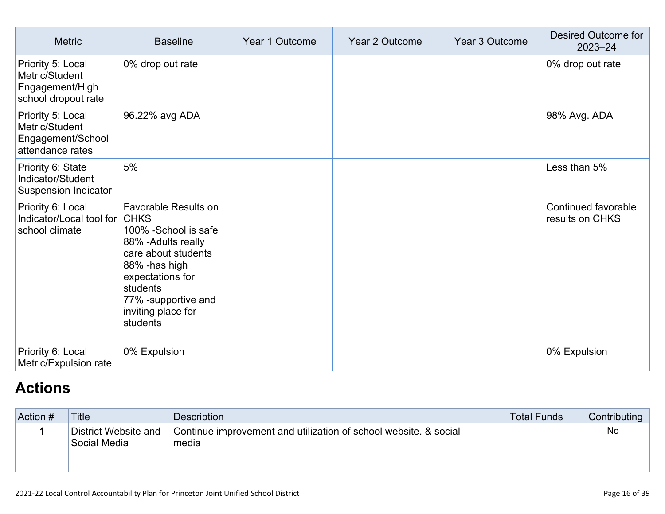| <b>Metric</b>                                                                 | <b>Baseline</b>                                                                                                                                                                                                       | Year 1 Outcome | Year 2 Outcome | Year 3 Outcome | Desired Outcome for<br>$2023 - 24$     |
|-------------------------------------------------------------------------------|-----------------------------------------------------------------------------------------------------------------------------------------------------------------------------------------------------------------------|----------------|----------------|----------------|----------------------------------------|
| Priority 5: Local<br>Metric/Student<br>Engagement/High<br>school dropout rate | 0% drop out rate                                                                                                                                                                                                      |                |                |                | 0% drop out rate                       |
| Priority 5: Local<br>Metric/Student<br>Engagement/School<br>attendance rates  | 96.22% avg ADA                                                                                                                                                                                                        |                |                |                | 98% Avg. ADA                           |
| Priority 6: State<br>Indicator/Student<br><b>Suspension Indicator</b>         | 5%                                                                                                                                                                                                                    |                |                |                | Less than 5%                           |
| Priority 6: Local<br>Indicator/Local tool for<br>school climate               | Favorable Results on<br><b>CHKS</b><br>100% - School is safe<br>88% - Adults really<br>care about students<br>88% - has high<br>expectations for<br>students<br>77% -supportive and<br>inviting place for<br>students |                |                |                | Continued favorable<br>results on CHKS |
| Priority 6: Local<br>Metric/Expulsion rate                                    | 0% Expulsion                                                                                                                                                                                                          |                |                |                | 0% Expulsion                           |

## **Actions**

| Action # | <b>Title</b>                         | <b>Description</b>                                                        | <b>Total Funds</b> | Contributing |
|----------|--------------------------------------|---------------------------------------------------------------------------|--------------------|--------------|
|          | District Website and<br>Social Media | Continue improvement and utilization of school website. & social<br>media |                    | No           |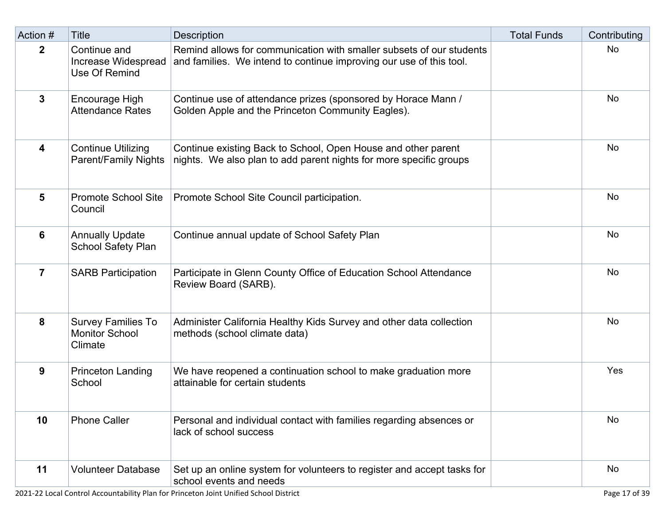| Action #       | <b>Title</b>                                                  | Description                                                                                                                                 | <b>Total Funds</b> | Contributing |
|----------------|---------------------------------------------------------------|---------------------------------------------------------------------------------------------------------------------------------------------|--------------------|--------------|
| $\mathbf{2}$   | Continue and<br>Increase Widespread<br>Use Of Remind          | Remind allows for communication with smaller subsets of our students<br>and families. We intend to continue improving our use of this tool. |                    | No           |
| 3              | Encourage High<br><b>Attendance Rates</b>                     | Continue use of attendance prizes (sponsored by Horace Mann /<br>Golden Apple and the Princeton Community Eagles).                          |                    | <b>No</b>    |
| 4              | <b>Continue Utilizing</b><br><b>Parent/Family Nights</b>      | Continue existing Back to School, Open House and other parent<br>nights. We also plan to add parent nights for more specific groups         |                    | <b>No</b>    |
| 5              | <b>Promote School Site</b><br>Council                         | Promote School Site Council participation.                                                                                                  |                    | <b>No</b>    |
| 6              | <b>Annually Update</b><br>School Safety Plan                  | Continue annual update of School Safety Plan                                                                                                |                    | No           |
| $\overline{7}$ | <b>SARB Participation</b>                                     | Participate in Glenn County Office of Education School Attendance<br>Review Board (SARB).                                                   |                    | No           |
| 8              | <b>Survey Families To</b><br><b>Monitor School</b><br>Climate | Administer California Healthy Kids Survey and other data collection<br>methods (school climate data)                                        |                    | No           |
| 9              | <b>Princeton Landing</b><br>School                            | We have reopened a continuation school to make graduation more<br>attainable for certain students                                           |                    | Yes          |
| 10             | <b>Phone Caller</b>                                           | Personal and individual contact with families regarding absences or<br>lack of school success                                               |                    | <b>No</b>    |
| 11             | <b>Volunteer Database</b>                                     | Set up an online system for volunteers to register and accept tasks for<br>school events and needs                                          |                    | <b>No</b>    |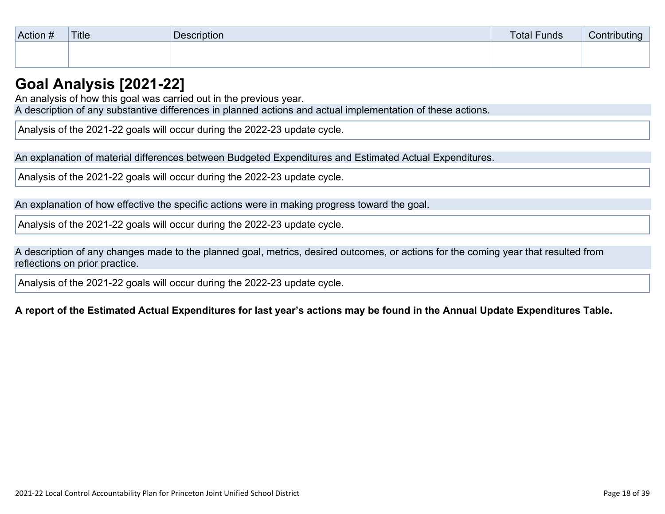| Action # | Title | Description | <b>Total Funds</b> | Contributing |
|----------|-------|-------------|--------------------|--------------|
|          |       |             |                    |              |
|          |       |             |                    |              |

### **Goal Analysis [2021-22]**

An analysis of how this goal was carried out in the previous year.

A description of any substantive differences in planned actions and actual implementation of these actions.

Analysis of the 2021-22 goals will occur during the 2022-23 update cycle.

An explanation of material differences between Budgeted Expenditures and Estimated Actual Expenditures.

Analysis of the 2021-22 goals will occur during the 2022-23 update cycle.

An explanation of how effective the specific actions were in making progress toward the goal.

Analysis of the 2021-22 goals will occur during the 2022-23 update cycle.

A description of any changes made to the planned goal, metrics, desired outcomes, or actions for the coming year that resulted from reflections on prior practice.

Analysis of the 2021-22 goals will occur during the 2022-23 update cycle.

A report of the Estimated Actual Expenditures for last year's actions may be found in the Annual Update Expenditures Table.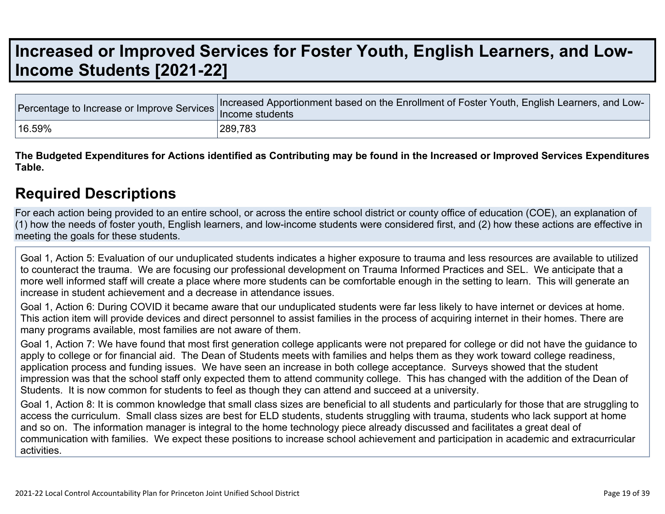## **Increased or Improved Services for Foster Youth, English Learners, and Low-Income Students [2021-22]**

|        | Tercentage to Increase or Improve Services Increased Apportionment based on the Enrollment of Foster Youth, English Learners, and Lux. |
|--------|----------------------------------------------------------------------------------------------------------------------------------------|
| 16.59% | 289,783                                                                                                                                |

The Budgeted Expenditures for Actions identified as Contributing may be found in the Increased or Improved Services Expenditures **Table.**

### **Required Descriptions**

For each action being provided to an entire school, or across the entire school district or county office of education (COE), an explanation of (1) how the needs of foster youth, English learners, and low-income students were considered first, and (2) how these actions are effective in meeting the goals for these students.

Goal 1, Action 5: Evaluation of our unduplicated students indicates a higher exposure to trauma and less resources are available to utilized to counteract the trauma. We are focusing our professional development on Trauma Informed Practices and SEL. We anticipate that a more well informed staff will create a place where more students can be comfortable enough in the setting to learn. This will generate an increase in student achievement and a decrease in attendance issues.

Goal 1, Action 6: During COVID it became aware that our unduplicated students were far less likely to have internet or devices at home. This action item will provide devices and direct personnel to assist families in the process of acquiring internet in their homes. There are many programs available, most families are not aware of them.

Goal 1, Action 7: We have found that most first generation college applicants were not prepared for college or did not have the guidance to apply to college or for financial aid. The Dean of Students meets with families and helps them as they work toward college readiness, application process and funding issues. We have seen an increase in both college acceptance. Surveys showed that the student impression was that the school staff only expected them to attend community college. This has changed with the addition of the Dean of Students. It is now common for students to feel as though they can attend and succeed at a university.

Goal 1, Action 8: It is common knowledge that small class sizes are beneficial to all students and particularly for those that are struggling to access the curriculum. Small class sizes are best for ELD students, students struggling with trauma, students who lack support at home and so on. The information manager is integral to the home technology piece already discussed and facilitates a great deal of communication with families. We expect these positions to increase school achievement and participation in academic and extracurricular activities.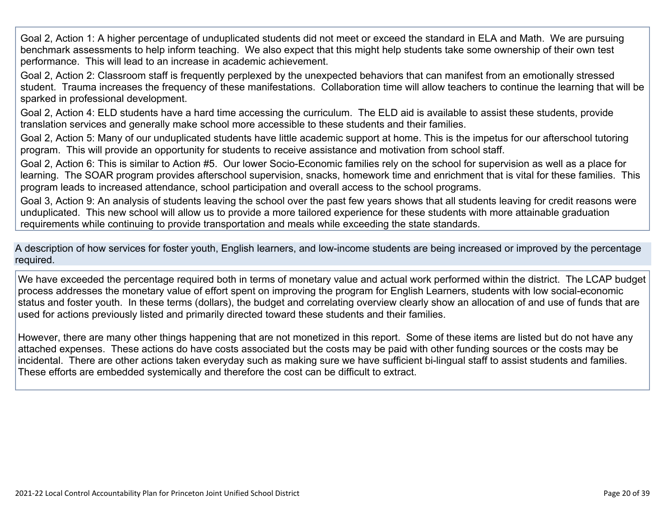Goal 2, Action 1: A higher percentage of unduplicated students did not meet or exceed the standard in ELA and Math. We are pursuing benchmark assessments to help inform teaching. We also expect that this might help students take some ownership of their own test performance. This will lead to an increase in academic achievement.

Goal 2, Action 2: Classroom staff is frequently perplexed by the unexpected behaviors that can manifest from an emotionally stressed student. Trauma increases the frequency of these manifestations. Collaboration time will allow teachers to continue the learning that will be sparked in professional development.

Goal 2, Action 4: ELD students have a hard time accessing the curriculum. The ELD aid is available to assist these students, provide translation services and generally make school more accessible to these students and their families.

Goal 2, Action 5: Many of our unduplicated students have little academic support at home. This is the impetus for our afterschool tutoring program. This will provide an opportunity for students to receive assistance and motivation from school staff.

Goal 2, Action 6: This is similar to Action #5. Our lower Socio-Economic families rely on the school for supervision as well as a place for learning. The SOAR program provides afterschool supervision, snacks, homework time and enrichment that is vital for these families. This program leads to increased attendance, school participation and overall access to the school programs.

Goal 3, Action 9: An analysis of students leaving the school over the past few years shows that all students leaving for credit reasons were unduplicated. This new school will allow us to provide a more tailored experience for these students with more attainable graduation requirements while continuing to provide transportation and meals while exceeding the state standards.

A description of how services for foster youth, English learners, and low-income students are being increased or improved by the percentage required.

We have exceeded the percentage required both in terms of monetary value and actual work performed within the district. The LCAP budget process addresses the monetary value of effort spent on improving the program for English Learners, students with low social-economic status and foster youth. In these terms (dollars), the budget and correlating overview clearly show an allocation of and use of funds that are used for actions previously listed and primarily directed toward these students and their families.

However, there are many other things happening that are not monetized in this report. Some of these items are listed but do not have any attached expenses. These actions do have costs associated but the costs may be paid with other funding sources or the costs may be incidental. There are other actions taken everyday such as making sure we have sufficient bi-lingual staff to assist students and families. These efforts are embedded systemically and therefore the cost can be difficult to extract.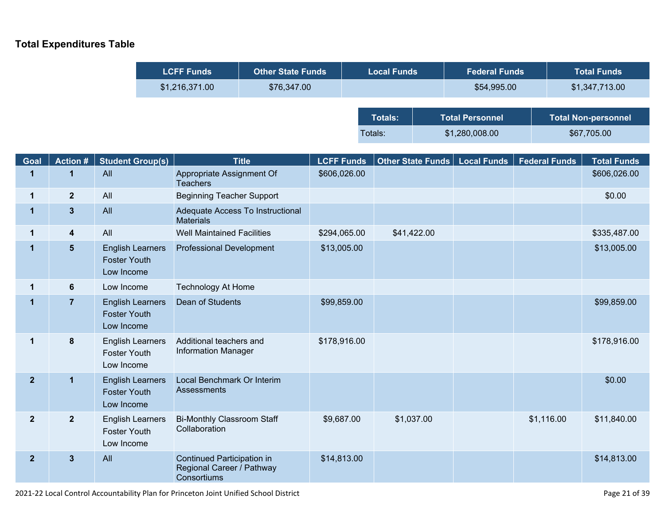#### **Total Expenditures Table**

| <b>LCFF Funds</b> | <b>Other State Funds</b> | <b>Local Funds</b> |                        | <b>Federal Funds</b> | <b>Total Funds</b>         |                |
|-------------------|--------------------------|--------------------|------------------------|----------------------|----------------------------|----------------|
| \$1,216,371.00    | \$76,347.00              |                    |                        | \$54,995.00          |                            | \$1,347,713.00 |
|                   |                          |                    |                        |                      |                            |                |
|                   |                          | <b>Totals:</b>     | <b>Total Personnel</b> |                      | <b>Total Non-personnel</b> |                |
|                   |                          | Totals:            |                        | \$1,280,008.00       | \$67,705.00                |                |

| Goal           | <b>Action#</b>          | <b>Student Group(s)</b>                                      | <b>Title</b>                                                           | <b>LCFF Funds</b> | Other State Funds | <b>Local Funds</b> | <b>Federal Funds</b> | <b>Total Funds</b> |
|----------------|-------------------------|--------------------------------------------------------------|------------------------------------------------------------------------|-------------------|-------------------|--------------------|----------------------|--------------------|
| 1              | 1                       | All                                                          | Appropriate Assignment Of<br><b>Teachers</b>                           | \$606,026.00      |                   |                    |                      | \$606,026.00       |
| $\mathbf 1$    | $\overline{2}$          | All                                                          | <b>Beginning Teacher Support</b>                                       |                   |                   |                    |                      | \$0.00             |
| $\mathbf 1$    | $\overline{\mathbf{3}}$ | All                                                          | Adequate Access To Instructional<br><b>Materials</b>                   |                   |                   |                    |                      |                    |
| $\mathbf 1$    | $\overline{\mathbf{4}}$ | All                                                          | <b>Well Maintained Facilities</b>                                      | \$294,065.00      | \$41,422.00       |                    |                      | \$335,487.00       |
| 1              | 5                       | <b>English Learners</b><br><b>Foster Youth</b><br>Low Income | <b>Professional Development</b>                                        | \$13,005.00       |                   |                    |                      | \$13,005.00        |
| 1              | $6\phantom{1}$          | Low Income                                                   | <b>Technology At Home</b>                                              |                   |                   |                    |                      |                    |
| 1              | $\overline{7}$          | <b>English Learners</b><br><b>Foster Youth</b><br>Low Income | Dean of Students                                                       | \$99,859.00       |                   |                    |                      | \$99,859.00        |
| $\mathbf 1$    | 8                       | <b>English Learners</b><br><b>Foster Youth</b><br>Low Income | Additional teachers and<br><b>Information Manager</b>                  | \$178,916.00      |                   |                    |                      | \$178,916.00       |
| 2 <sup>1</sup> | 1                       | <b>English Learners</b><br><b>Foster Youth</b><br>Low Income | Local Benchmark Or Interim<br>Assessments                              |                   |                   |                    |                      | \$0.00             |
| $\mathbf{2}$   | $\overline{2}$          | <b>English Learners</b><br><b>Foster Youth</b><br>Low Income | <b>Bi-Monthly Classroom Staff</b><br>Collaboration                     | \$9,687.00        | \$1,037.00        |                    | \$1,116.00           | \$11,840.00        |
| $\overline{2}$ | $\mathbf{3}$            | All                                                          | Continued Participation in<br>Regional Career / Pathway<br>Consortiums | \$14,813.00       |                   |                    |                      | \$14,813.00        |

2021-22 Local Control Accountability Plan for Princeton Joint Unified School District Page 21 of 39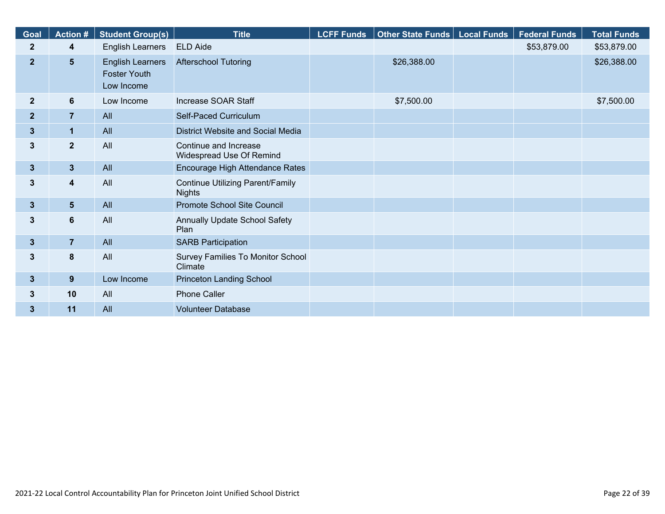| Goal           | <b>Action #</b> | <b>Student Group(s)</b>                                      | <b>Title</b>                                             | <b>LCFF Funds</b> | Other State Funds | <b>Local Funds</b> | <b>Federal Funds</b> | <b>Total Funds</b> |
|----------------|-----------------|--------------------------------------------------------------|----------------------------------------------------------|-------------------|-------------------|--------------------|----------------------|--------------------|
| $\mathbf{2}$   | 4               | <b>English Learners</b>                                      | <b>ELD Aide</b>                                          |                   |                   |                    | \$53,879.00          | \$53,879.00        |
| 2 <sup>2</sup> | $5\phantom{.}$  | <b>English Learners</b><br><b>Foster Youth</b><br>Low Income | <b>Afterschool Tutoring</b>                              |                   | \$26,388.00       |                    |                      | \$26,388.00        |
| $\overline{2}$ | 6               | Low Income                                                   | Increase SOAR Staff                                      |                   | \$7,500.00        |                    |                      | \$7,500.00         |
| $\overline{2}$ | $\overline{7}$  | All                                                          | Self-Paced Curriculum                                    |                   |                   |                    |                      |                    |
| $3\phantom{a}$ | $\mathbf{1}$    | All                                                          | District Website and Social Media                        |                   |                   |                    |                      |                    |
| 3              | $\mathbf{2}$    | All                                                          | Continue and Increase<br>Widespread Use Of Remind        |                   |                   |                    |                      |                    |
| $\mathbf{3}$   | 3 <sup>5</sup>  | All                                                          | Encourage High Attendance Rates                          |                   |                   |                    |                      |                    |
| 3              | 4               | All                                                          | <b>Continue Utilizing Parent/Family</b><br><b>Nights</b> |                   |                   |                    |                      |                    |
| $3\phantom{a}$ | 5 <sub>5</sub>  | All                                                          | Promote School Site Council                              |                   |                   |                    |                      |                    |
| 3              | $6\phantom{a}$  | All                                                          | Annually Update School Safety<br>Plan                    |                   |                   |                    |                      |                    |
| $3\phantom{a}$ | $\overline{7}$  | All                                                          | <b>SARB Participation</b>                                |                   |                   |                    |                      |                    |
| 3              | 8               | All                                                          | Survey Families To Monitor School<br>Climate             |                   |                   |                    |                      |                    |
| $\mathbf{3}$   | 9               | Low Income                                                   | <b>Princeton Landing School</b>                          |                   |                   |                    |                      |                    |
| 3              | 10              | All                                                          | <b>Phone Caller</b>                                      |                   |                   |                    |                      |                    |
| $\mathbf{3}$   | 11              | All                                                          | <b>Volunteer Database</b>                                |                   |                   |                    |                      |                    |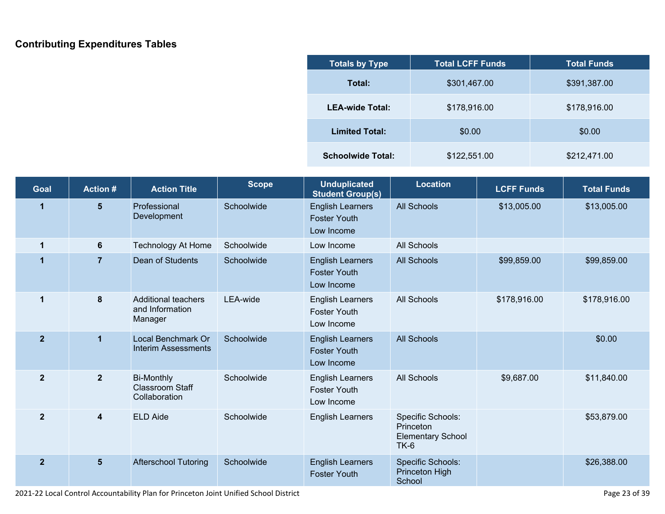#### **Contributing Expenditures Tables**

| <b>Totals by Type</b>    | <b>Total LCFF Funds</b> | <b>Total Funds</b> |  |
|--------------------------|-------------------------|--------------------|--|
| Total:                   | \$301,467.00            | \$391,387.00       |  |
| <b>LEA-wide Total:</b>   | \$178,916.00            | \$178,916.00       |  |
| <b>Limited Total:</b>    | \$0.00                  | \$0.00             |  |
| <b>Schoolwide Total:</b> | \$122,551.00            | \$212,471.00       |  |

| Goal           | <b>Action#</b>          | <b>Action Title</b>                                          | <b>Scope</b> | <b>Unduplicated</b><br><b>Student Group(s)</b>               | <b>Location</b>                                                      | <b>LCFF Funds</b> | <b>Total Funds</b> |
|----------------|-------------------------|--------------------------------------------------------------|--------------|--------------------------------------------------------------|----------------------------------------------------------------------|-------------------|--------------------|
| 1              | 5 <sub>5</sub>          | Professional<br>Development                                  | Schoolwide   | <b>English Learners</b><br><b>Foster Youth</b><br>Low Income | <b>All Schools</b>                                                   | \$13,005.00       | \$13,005.00        |
| 1              | 6                       | <b>Technology At Home</b>                                    | Schoolwide   | Low Income                                                   | <b>All Schools</b>                                                   |                   |                    |
| 1              | $\overline{7}$          | Dean of Students                                             | Schoolwide   | <b>English Learners</b><br><b>Foster Youth</b><br>Low Income | <b>All Schools</b>                                                   | \$99,859.00       | \$99,859.00        |
| 1              | 8                       | <b>Additional teachers</b><br>and Information<br>Manager     | LEA-wide     | <b>English Learners</b><br><b>Foster Youth</b><br>Low Income | <b>All Schools</b>                                                   | \$178,916.00      | \$178,916.00       |
| $\overline{2}$ | 1                       | Local Benchmark Or<br><b>Interim Assessments</b>             | Schoolwide   | <b>English Learners</b><br><b>Foster Youth</b><br>Low Income | <b>All Schools</b>                                                   |                   | \$0.00             |
| $\mathbf{2}$   | $\overline{2}$          | <b>Bi-Monthly</b><br><b>Classroom Staff</b><br>Collaboration | Schoolwide   | <b>English Learners</b><br><b>Foster Youth</b><br>Low Income | <b>All Schools</b>                                                   | \$9,687.00        | \$11,840.00        |
| $\mathbf{2}$   | $\overline{\mathbf{4}}$ | <b>ELD Aide</b>                                              | Schoolwide   | <b>English Learners</b>                                      | Specific Schools:<br>Princeton<br><b>Elementary School</b><br>$TK-6$ |                   | \$53,879.00        |
| $\overline{2}$ | 5 <sup>5</sup>          | <b>Afterschool Tutoring</b>                                  | Schoolwide   | <b>English Learners</b><br><b>Foster Youth</b>               | <b>Specific Schools:</b><br>Princeton High<br>School                 |                   | \$26,388.00        |

2021-22 Local Control Accountability Plan for Princeton Joint Unified School District Page 23 of 39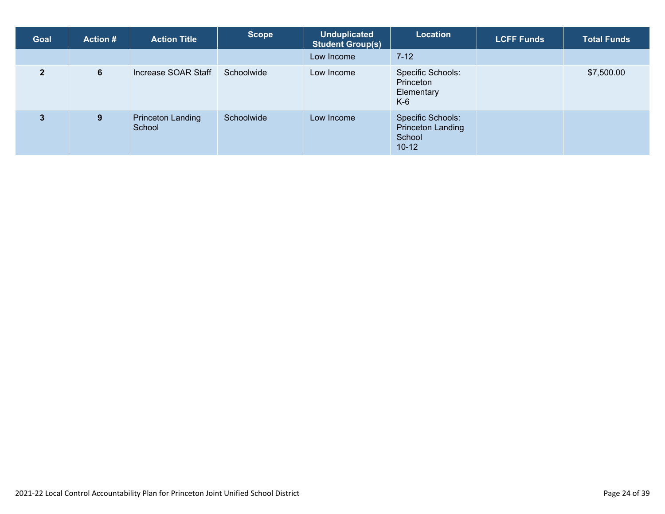| <b>Goal</b>    | <b>Action #</b> | <b>Action Title</b>                | <b>Scope</b> | <b>Unduplicated</b><br><b>Student Group(s)</b> | Location                                                           | <b>LCFF Funds</b> | <b>Total Funds</b> |
|----------------|-----------------|------------------------------------|--------------|------------------------------------------------|--------------------------------------------------------------------|-------------------|--------------------|
|                |                 |                                    |              | Low Income                                     | $7 - 12$                                                           |                   |                    |
| $\overline{2}$ | 6               | Increase SOAR Staff                | Schoolwide   | Low Income                                     | Specific Schools:<br>Princeton<br>Elementary<br>$K-6$              |                   | \$7,500.00         |
| $\mathbf{3}$   | 9 <sup>°</sup>  | <b>Princeton Landing</b><br>School | Schoolwide   | Low Income                                     | <b>Specific Schools:</b><br>Princeton Landing<br>School<br>$10-12$ |                   |                    |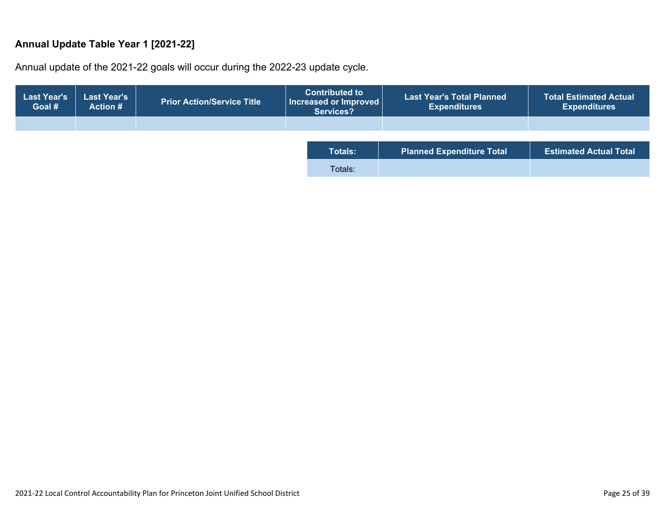#### **Annual Update Table Year 1 [2021-22]**

Annual update of the 2021-22 goals will occur during the 2022-23 update cycle.

| <b>Last Year's</b><br>Goal # | <b>Last Year's</b><br><b>Action #</b> | <b>Prior Action/Service Title</b> | <b>Contributed to</b><br>  Increased or Improved  <br><b>Services?</b> | <b>Last Year's Total Planned</b><br><b>Expenditures</b> | <b>Total Estimated Actual</b><br><b>Expenditures</b> |
|------------------------------|---------------------------------------|-----------------------------------|------------------------------------------------------------------------|---------------------------------------------------------|------------------------------------------------------|
|                              |                                       |                                   |                                                                        |                                                         |                                                      |
|                              |                                       |                                   |                                                                        |                                                         |                                                      |
|                              |                                       |                                   | <b>Totals:</b>                                                         | <b>Planned Expenditure Total</b>                        | <b>Estimated Actual Total</b>                        |
|                              |                                       |                                   | Totals:                                                                |                                                         |                                                      |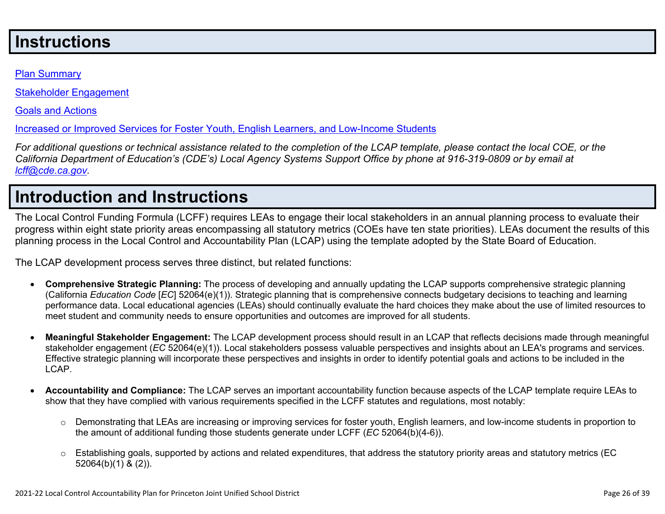## **Instructions**

#### Plan Summary

Stakeholder Engagement

Goals and Actions

Increased or Improved Services for Foster Youth, English Learners, and Low-Income Students

For additional questions or technical assistance related to the completion of the LCAP template, please contact the local COE, or the California Department of Education's (CDE's) Local Agency Systems Support Office by phone at 916-319-0809 or by email at *lcff@cde.ca.gov.*

## **Introduction and Instructions**

The Local Control Funding Formula (LCFF) requires LEAs to engage their local stakeholders in an annual planning process to evaluate their progress within eight state priority areas encompassing all statutory metrics (COEs have ten state priorities). LEAs document the results of this planning process in the Local Control and Accountability Plan (LCAP) using the template adopted by the State Board of Education.

The LCAP development process serves three distinct, but related functions:

- **Comprehensive Strategic Planning:** The process of developing and annually updating the LCAP supports comprehensive strategic planning (California *Education Code* [*EC*] 52064(e)(1)). Strategic planning that is comprehensive connects budgetary decisions to teaching and learning performance data. Local educational agencies (LEAs) should continually evaluate the hard choices they make about the use of limited resources to meet student and community needs to ensure opportunities and outcomes are improved for all students.
- **Meaningful Stakeholder Engagement:** The LCAP development process should result in an LCAP that reflects decisions made through meaningful stakeholder engagement (*EC* 52064(e)(1)). Local stakeholders possess valuable perspectives and insights about an LEA's programs and services. Effective strategic planning will incorporate these perspectives and insights in order to identify potential goals and actions to be included in the LCAP.
- **Accountability and Compliance:** The LCAP serves an important accountability function because aspects of the LCAP template require LEAs to show that they have complied with various requirements specified in the LCFF statutes and regulations, most notably:
	- $\circ$  Demonstrating that LEAs are increasing or improving services for foster youth, English learners, and low-income students in proportion to the amount of additional funding those students generate under LCFF (*EC* 52064(b)(4-6)).
	- $\circ$  Establishing goals, supported by actions and related expenditures, that address the statutory priority areas and statutory metrics (EC 52064(b)(1) & (2)).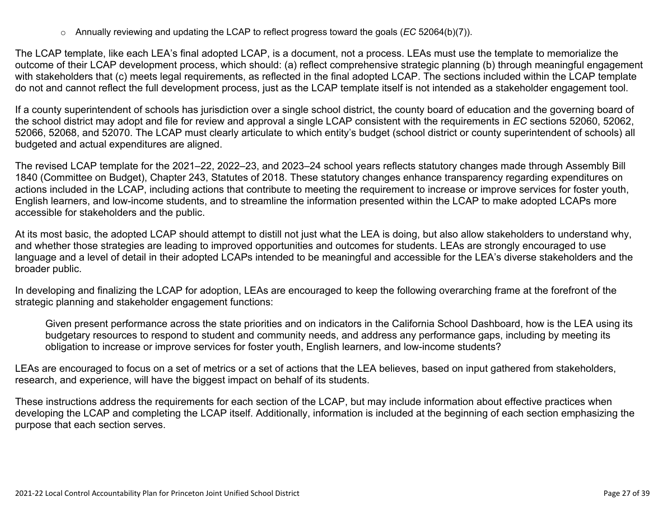o Annually reviewing and updating the LCAP to reflect progress toward the goals (*EC* 52064(b)(7)).

The LCAP template, like each LEA's final adopted LCAP, is a document, not a process. LEAs must use the template to memorialize the outcome of their LCAP development process, which should: (a) reflect comprehensive strategic planning (b) through meaningful engagement with stakeholders that (c) meets legal requirements, as reflected in the final adopted LCAP. The sections included within the LCAP template do not and cannot reflect the full development process, just as the LCAP template itself is not intended as a stakeholder engagement tool.

If a county superintendent of schools has jurisdiction over a single school district, the county board of education and the governing board of the school district may adopt and file for review and approval a single LCAP consistent with the requirements in *EC* sections 52060, 52062, 52066, 52068, and 52070. The LCAP must clearly articulate to which entity's budget (school district or county superintendent of schools) all budgeted and actual expenditures are aligned.

The revised LCAP template for the 2021–22, 2022–23, and 2023–24 school years reflects statutory changes made through Assembly Bill 1840 (Committee on Budget), Chapter 243, Statutes of 2018. These statutory changes enhance transparency regarding expenditures on actions included in the LCAP, including actions that contribute to meeting the requirement to increase or improve services for foster youth, English learners, and low-income students, and to streamline the information presented within the LCAP to make adopted LCAPs more accessible for stakeholders and the public.

At its most basic, the adopted LCAP should attempt to distill not just what the LEA is doing, but also allow stakeholders to understand why, and whether those strategies are leading to improved opportunities and outcomes for students. LEAs are strongly encouraged to use language and a level of detail in their adopted LCAPs intended to be meaningful and accessible for the LEA's diverse stakeholders and the broader public.

In developing and finalizing the LCAP for adoption, LEAs are encouraged to keep the following overarching frame at the forefront of the strategic planning and stakeholder engagement functions:

Given present performance across the state priorities and on indicators in the California School Dashboard, how is the LEA using its budgetary resources to respond to student and community needs, and address any performance gaps, including by meeting its obligation to increase or improve services for foster youth, English learners, and low-income students?

LEAs are encouraged to focus on a set of metrics or a set of actions that the LEA believes, based on input gathered from stakeholders, research, and experience, will have the biggest impact on behalf of its students.

These instructions address the requirements for each section of the LCAP, but may include information about effective practices when developing the LCAP and completing the LCAP itself. Additionally, information is included at the beginning of each section emphasizing the purpose that each section serves.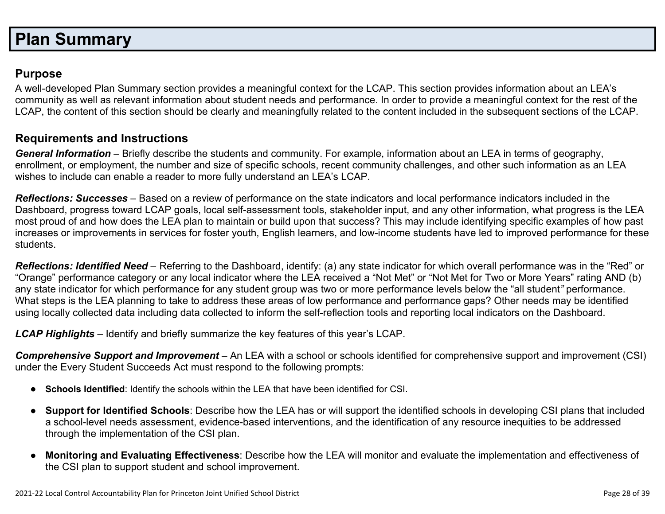## **Plan Summary**

#### **Purpose**

A well-developed Plan Summary section provides a meaningful context for the LCAP. This section provides information about an LEA's community as well as relevant information about student needs and performance. In order to provide a meaningful context for the rest of the LCAP, the content of this section should be clearly and meaningfully related to the content included in the subsequent sections of the LCAP.

#### **Requirements and Instructions**

*General Information* – Briefly describe the students and community. For example, information about an LEA in terms of geography, enrollment, or employment, the number and size of specific schools, recent community challenges, and other such information as an LEA wishes to include can enable a reader to more fully understand an LEA's LCAP.

*Reflections: Successes* – Based on a review of performance on the state indicators and local performance indicators included in the Dashboard, progress toward LCAP goals, local self-assessment tools, stakeholder input, and any other information, what progress is the LEA most proud of and how does the LEA plan to maintain or build upon that success? This may include identifying specific examples of how past increases or improvements in services for foster youth, English learners, and low-income students have led to improved performance for these students.

*Reflections: Identified Need* – Referring to the Dashboard, identify: (a) any state indicator for which overall performance was in the "Red" or "Orange" performance category or any local indicator where the LEA received a "Not Met" or "Not Met for Two or More Years" rating AND (b) any state indicator for which performance for any student group was two or more performance levels below the "all student*"* performance. What steps is the LEA planning to take to address these areas of low performance and performance gaps? Other needs may be identified using locally collected data including data collected to inform the self-reflection tools and reporting local indicators on the Dashboard.

*LCAP Highlights* – Identify and briefly summarize the key features of this year's LCAP.

*Comprehensive Support and Improvement* – An LEA with a school or schools identified for comprehensive support and improvement (CSI) under the Every Student Succeeds Act must respond to the following prompts:

- **Schools Identified**: Identify the schools within the LEA that have been identified for CSI.
- **Support for Identified Schools**: Describe how the LEA has or will support the identified schools in developing CSI plans that included a school-level needs assessment, evidence-based interventions, and the identification of any resource inequities to be addressed through the implementation of the CSI plan.
- **Monitoring and Evaluating Effectiveness**: Describe how the LEA will monitor and evaluate the implementation and effectiveness of the CSI plan to support student and school improvement.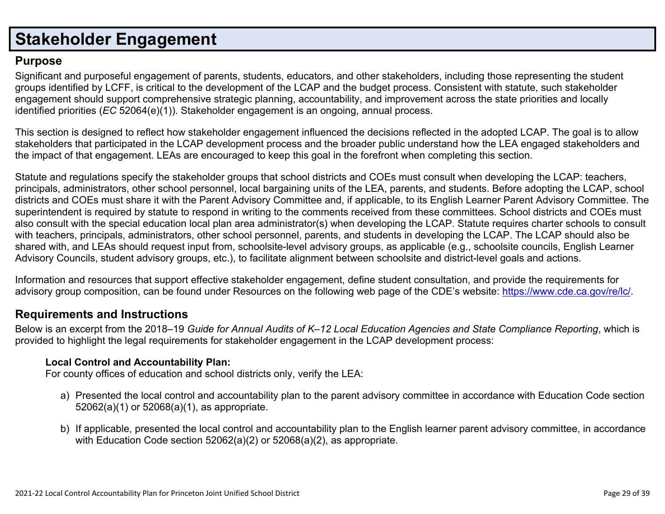## **Stakeholder Engagement**

#### **Purpose**

Significant and purposeful engagement of parents, students, educators, and other stakeholders, including those representing the student groups identified by LCFF, is critical to the development of the LCAP and the budget process. Consistent with statute, such stakeholder engagement should support comprehensive strategic planning, accountability, and improvement across the state priorities and locally identified priorities (*EC* 52064(e)(1)). Stakeholder engagement is an ongoing, annual process.

This section is designed to reflect how stakeholder engagement influenced the decisions reflected in the adopted LCAP. The goal is to allow stakeholders that participated in the LCAP development process and the broader public understand how the LEA engaged stakeholders and the impact of that engagement. LEAs are encouraged to keep this goal in the forefront when completing this section.

Statute and regulations specify the stakeholder groups that school districts and COEs must consult when developing the LCAP: teachers, principals, administrators, other school personnel, local bargaining units of the LEA, parents, and students. Before adopting the LCAP, school districts and COEs must share it with the Parent Advisory Committee and, if applicable, to its English Learner Parent Advisory Committee. The superintendent is required by statute to respond in writing to the comments received from these committees. School districts and COEs must also consult with the special education local plan area administrator(s) when developing the LCAP. Statute requires charter schools to consult with teachers, principals, administrators, other school personnel, parents, and students in developing the LCAP. The LCAP should also be shared with, and LEAs should request input from, schoolsite-level advisory groups, as applicable (e.g., schoolsite councils, English Learner Advisory Councils, student advisory groups, etc.), to facilitate alignment between schoolsite and district-level goals and actions.

Information and resources that support effective stakeholder engagement, define student consultation, and provide the requirements for advisory group composition, can be found under Resources on the following web page of the CDE's website: https://www.cde.ca.gov/re/lc/.

#### **Requirements and Instructions**

Below is an excerpt from the 2018–19 Guide for Annual Audits of K–12 Local Education Agencies and State Compliance Reporting, which is provided to highlight the legal requirements for stakeholder engagement in the LCAP development process:

#### **Local Control and Accountability Plan:**

For county offices of education and school districts only, verify the LEA:

- a) Presented the local control and accountability plan to the parent advisory committee in accordance with Education Code section 52062(a)(1) or 52068(a)(1), as appropriate.
- b) If applicable, presented the local control and accountability plan to the English learner parent advisory committee, in accordance with Education Code section 52062(a)(2) or 52068(a)(2), as appropriate.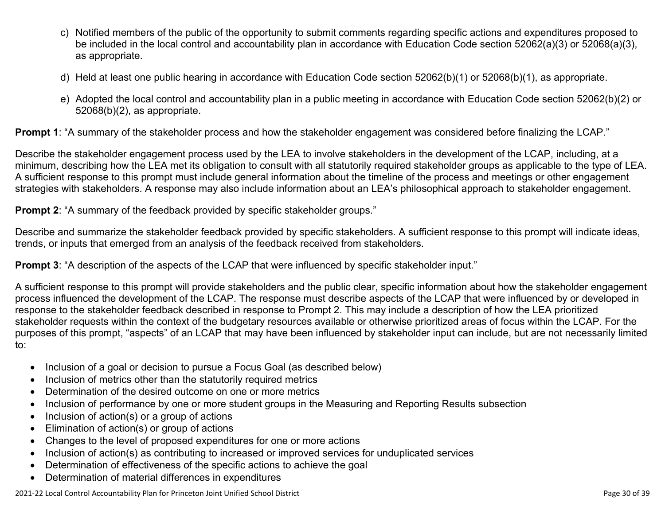- c) Notified members of the public of the opportunity to submit comments regarding specific actions and expenditures proposed to be included in the local control and accountability plan in accordance with Education Code section 52062(a)(3) or 52068(a)(3), as appropriate.
- d) Held at least one public hearing in accordance with Education Code section 52062(b)(1) or 52068(b)(1), as appropriate.
- e) Adopted the local control and accountability plan in a public meeting in accordance with Education Code section 52062(b)(2) or 52068(b)(2), as appropriate.

**Prompt 1**: "A summary of the stakeholder process and how the stakeholder engagement was considered before finalizing the LCAP."

Describe the stakeholder engagement process used by the LEA to involve stakeholders in the development of the LCAP, including, at a minimum, describing how the LEA met its obligation to consult with all statutorily required stakeholder groups as applicable to the type of LEA. A sufficient response to this prompt must include general information about the timeline of the process and meetings or other engagement strategies with stakeholders. A response may also include information about an LEA's philosophical approach to stakeholder engagement.

**Prompt 2:** "A summary of the feedback provided by specific stakeholder groups."

Describe and summarize the stakeholder feedback provided by specific stakeholders. A sufficient response to this prompt will indicate ideas, trends, or inputs that emerged from an analysis of the feedback received from stakeholders.

**Prompt 3:** "A description of the aspects of the LCAP that were influenced by specific stakeholder input."

A sufficient response to this prompt will provide stakeholders and the public clear, specific information about how the stakeholder engagement process influenced the development of the LCAP. The response must describe aspects of the LCAP that were influenced by or developed in response to the stakeholder feedback described in response to Prompt 2. This may include a description of how the LEA prioritized stakeholder requests within the context of the budgetary resources available or otherwise prioritized areas of focus within the LCAP. For the purposes of this prompt, "aspects" of an LCAP that may have been influenced by stakeholder input can include, but are not necessarily limited to:

- Inclusion of a goal or decision to pursue a Focus Goal (as described below)
- Inclusion of metrics other than the statutorily required metrics
- Determination of the desired outcome on one or more metrics
- Inclusion of performance by one or more student groups in the Measuring and Reporting Results subsection
- $\bullet$  Inclusion of action(s) or a group of actions
- Elimination of action(s) or group of actions
- Changes to the level of proposed expenditures for one or more actions
- Inclusion of action(s) as contributing to increased or improved services for unduplicated services
- Determination of effectiveness of the specific actions to achieve the goal
- Determination of material differences in expenditures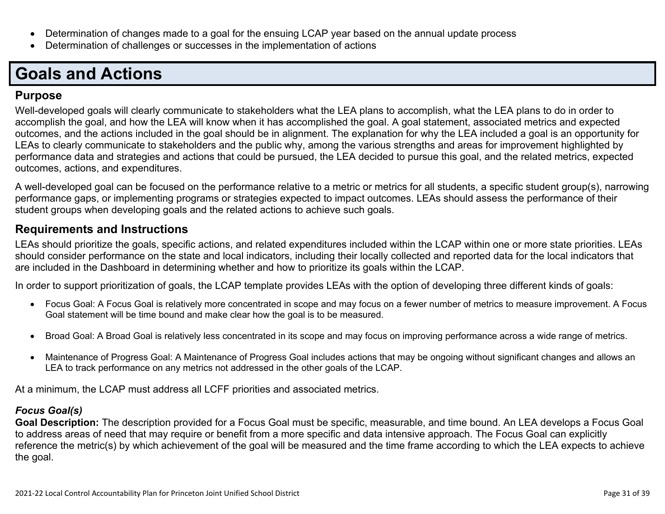- Determination of changes made to a goal for the ensuing LCAP year based on the annual update process
- Determination of challenges or successes in the implementation of actions

# **Goals and Actions**

#### **Purpose**

Well-developed goals will clearly communicate to stakeholders what the LEA plans to accomplish, what the LEA plans to do in order to accomplish the goal, and how the LEA will know when it has accomplished the goal. A goal statement, associated metrics and expected outcomes, and the actions included in the goal should be in alignment. The explanation for why the LEA included a goal is an opportunity for LEAs to clearly communicate to stakeholders and the public why, among the various strengths and areas for improvement highlighted by performance data and strategies and actions that could be pursued, the LEA decided to pursue this goal, and the related metrics, expected outcomes, actions, and expenditures.

A well-developed goal can be focused on the performance relative to a metric or metrics for all students, a specific student group(s), narrowing performance gaps, or implementing programs or strategies expected to impact outcomes. LEAs should assess the performance of their student groups when developing goals and the related actions to achieve such goals.

#### **Requirements and Instructions**

LEAs should prioritize the goals, specific actions, and related expenditures included within the LCAP within one or more state priorities. LEAs should consider performance on the state and local indicators, including their locally collected and reported data for the local indicators that are included in the Dashboard in determining whether and how to prioritize its goals within the LCAP.

In order to support prioritization of goals, the LCAP template provides LEAs with the option of developing three different kinds of goals:

- Focus Goal: A Focus Goal is relatively more concentrated in scope and may focus on a fewer number of metrics to measure improvement. A Focus Goal statement will be time bound and make clear how the goal is to be measured.
- Broad Goal: A Broad Goal is relatively less concentrated in its scope and may focus on improving performance across a wide range of metrics.
- Maintenance of Progress Goal: A Maintenance of Progress Goal includes actions that may be ongoing without significant changes and allows an LEA to track performance on any metrics not addressed in the other goals of the LCAP.

At a minimum, the LCAP must address all LCFF priorities and associated metrics.

#### *Focus Goal(s)*

**Goal Description:** The description provided for a Focus Goal must be specific, measurable, and time bound. An LEA develops a Focus Goal to address areas of need that may require or benefit from a more specific and data intensive approach. The Focus Goal can explicitly reference the metric(s) by which achievement of the goal will be measured and the time frame according to which the LEA expects to achieve the goal.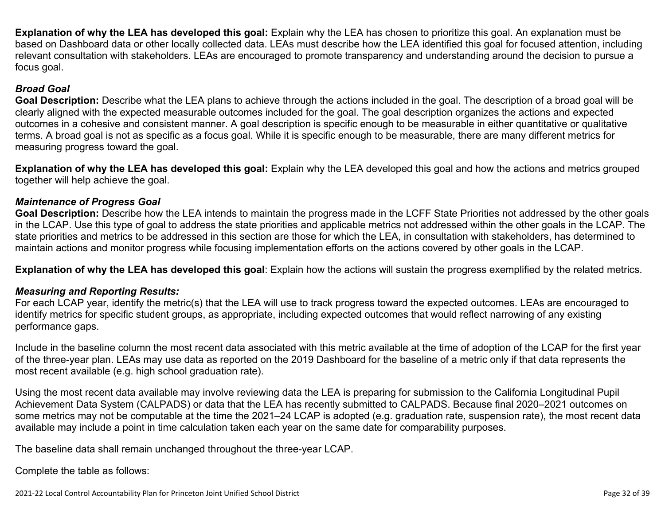**Explanation of why the LEA has developed this goal:** Explain why the LEA has chosen to prioritize this goal. An explanation must be based on Dashboard data or other locally collected data. LEAs must describe how the LEA identified this goal for focused attention, including relevant consultation with stakeholders. LEAs are encouraged to promote transparency and understanding around the decision to pursue a focus goal.

#### *Broad Goal*

**Goal Description:** Describe what the LEA plans to achieve through the actions included in the goal. The description of a broad goal will be clearly aligned with the expected measurable outcomes included for the goal. The goal description organizes the actions and expected outcomes in a cohesive and consistent manner. A goal description is specific enough to be measurable in either quantitative or qualitative terms. A broad goal is not as specific as a focus goal. While it is specific enough to be measurable, there are many different metrics for measuring progress toward the goal.

**Explanation of why the LEA has developed this goal:** Explain why the LEA developed this goal and how the actions and metrics grouped together will help achieve the goal.

#### *Maintenance of Progress Goal*

**Goal Description:** Describe how the LEA intends to maintain the progress made in the LCFF State Priorities not addressed by the other goals in the LCAP. Use this type of goal to address the state priorities and applicable metrics not addressed within the other goals in the LCAP. The state priorities and metrics to be addressed in this section are those for which the LEA, in consultation with stakeholders, has determined to maintain actions and monitor progress while focusing implementation efforts on the actions covered by other goals in the LCAP.

**Explanation of why the LEA has developed this goal**: Explain how the actions will sustain the progress exemplified by the related metrics.

#### *Measuring and Reporting Results:*

For each LCAP year, identify the metric(s) that the LEA will use to track progress toward the expected outcomes. LEAs are encouraged to identify metrics for specific student groups, as appropriate, including expected outcomes that would reflect narrowing of any existing performance gaps.

Include in the baseline column the most recent data associated with this metric available at the time of adoption of the LCAP for the first year of the three-year plan. LEAs may use data as reported on the 2019 Dashboard for the baseline of a metric only if that data represents the most recent available (e.g. high school graduation rate).

Using the most recent data available may involve reviewing data the LEA is preparing for submission to the California Longitudinal Pupil Achievement Data System (CALPADS) or data that the LEA has recently submitted to CALPADS. Because final 2020–2021 outcomes on some metrics may not be computable at the time the 2021–24 LCAP is adopted (e.g. graduation rate, suspension rate), the most recent data available may include a point in time calculation taken each year on the same date for comparability purposes.

The baseline data shall remain unchanged throughout the three-year LCAP.

Complete the table as follows: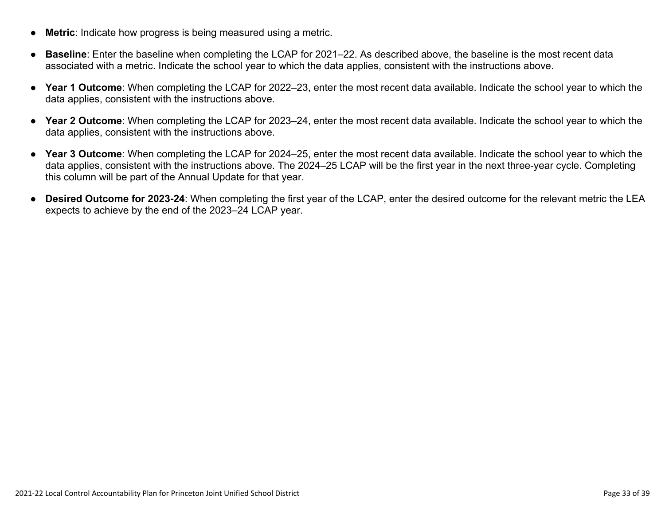- **Metric**: Indicate how progress is being measured using a metric.
- **Baseline**: Enter the baseline when completing the LCAP for 2021–22. As described above, the baseline is the most recent data associated with a metric. Indicate the school year to which the data applies, consistent with the instructions above.
- **Year 1 Outcome**: When completing the LCAP for 2022–23, enter the most recent data available. Indicate the school year to which the data applies, consistent with the instructions above.
- **Year 2 Outcome**: When completing the LCAP for 2023–24, enter the most recent data available. Indicate the school year to which the data applies, consistent with the instructions above.
- **Year 3 Outcome**: When completing the LCAP for 2024–25, enter the most recent data available. Indicate the school year to which the data applies, consistent with the instructions above. The 2024–25 LCAP will be the first year in the next three-year cycle. Completing this column will be part of the Annual Update for that year.
- **Desired Outcome for 2023-24**: When completing the first year of the LCAP, enter the desired outcome for the relevant metric the LEA expects to achieve by the end of the 2023–24 LCAP year.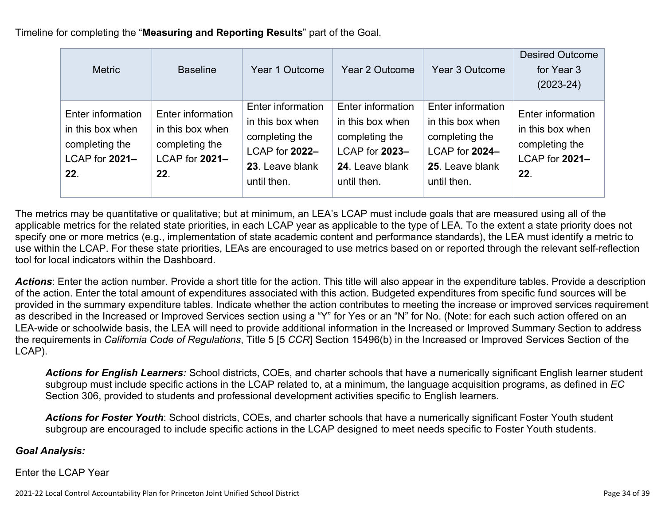Timeline for completing the "**Measuring and Reporting Results**" part of the Goal.

| <b>Metric</b>                                                                    | <b>Baseline</b>                                                                  | Year 1 Outcome                                                                                              | Year 2 Outcome                                                                                              | Year 3 Outcome                                                                                              | <b>Desired Outcome</b><br>for Year 3<br>$(2023-24)$                              |
|----------------------------------------------------------------------------------|----------------------------------------------------------------------------------|-------------------------------------------------------------------------------------------------------------|-------------------------------------------------------------------------------------------------------------|-------------------------------------------------------------------------------------------------------------|----------------------------------------------------------------------------------|
| Enter information<br>in this box when<br>completing the<br>LCAP for 2021-<br>22. | Enter information<br>in this box when<br>completing the<br>LCAP for 2021-<br>22. | Enter information<br>in this box when<br>completing the<br>LCAP for 2022-<br>23. Leave blank<br>until then. | Enter information<br>in this box when<br>completing the<br>LCAP for 2023-<br>24. Leave blank<br>until then. | Enter information<br>in this box when<br>completing the<br>LCAP for 2024-<br>25. Leave blank<br>until then. | Enter information<br>in this box when<br>completing the<br>LCAP for 2021-<br>22. |

The metrics may be quantitative or qualitative; but at minimum, an LEA's LCAP must include goals that are measured using all of the applicable metrics for the related state priorities, in each LCAP year as applicable to the type of LEA. To the extent a state priority does not specify one or more metrics (e.g., implementation of state academic content and performance standards), the LEA must identify a metric to use within the LCAP. For these state priorities, LEAs are encouraged to use metrics based on or reported through the relevant self-reflection tool for local indicators within the Dashboard.

*Actions*: Enter the action number. Provide a short title for the action. This title will also appear in the expenditure tables. Provide a description of the action. Enter the total amount of expenditures associated with this action. Budgeted expenditures from specific fund sources will be provided in the summary expenditure tables. Indicate whether the action contributes to meeting the increase or improved services requirement as described in the Increased or Improved Services section using a "Y" for Yes or an "N" for No. (Note: for each such action offered on an LEA-wide or schoolwide basis, the LEA will need to provide additional information in the Increased or Improved Summary Section to address the requirements in *California Code of Regulations*, Title 5 [5 *CCR*] Section 15496(b) in the Increased or Improved Services Section of the LCAP).

*Actions for English Learners:* School districts, COEs, and charter schools that have a numerically significant English learner student subgroup must include specific actions in the LCAP related to, at a minimum, the language acquisition programs, as defined in *EC* Section 306, provided to students and professional development activities specific to English learners.

*Actions for Foster Youth*: School districts, COEs, and charter schools that have a numerically significant Foster Youth student subgroup are encouraged to include specific actions in the LCAP designed to meet needs specific to Foster Youth students.

#### *Goal Analysis:*

Enter the LCAP Year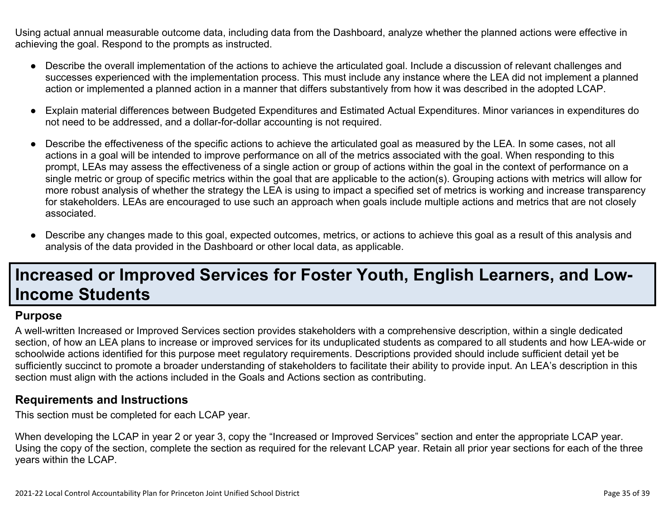Using actual annual measurable outcome data, including data from the Dashboard, analyze whether the planned actions were effective in achieving the goal. Respond to the prompts as instructed.

- Describe the overall implementation of the actions to achieve the articulated goal. Include a discussion of relevant challenges and successes experienced with the implementation process. This must include any instance where the LEA did not implement a planned action or implemented a planned action in a manner that differs substantively from how it was described in the adopted LCAP.
- Explain material differences between Budgeted Expenditures and Estimated Actual Expenditures. Minor variances in expenditures do not need to be addressed, and a dollar-for-dollar accounting is not required.
- Describe the effectiveness of the specific actions to achieve the articulated goal as measured by the LEA. In some cases, not all actions in a goal will be intended to improve performance on all of the metrics associated with the goal. When responding to this prompt, LEAs may assess the effectiveness of a single action or group of actions within the goal in the context of performance on a single metric or group of specific metrics within the goal that are applicable to the action(s). Grouping actions with metrics will allow for more robust analysis of whether the strategy the LEA is using to impact a specified set of metrics is working and increase transparency for stakeholders. LEAs are encouraged to use such an approach when goals include multiple actions and metrics that are not closely associated.
- Describe any changes made to this goal, expected outcomes, metrics, or actions to achieve this goal as a result of this analysis and analysis of the data provided in the Dashboard or other local data, as applicable.

## **Increased or Improved Services for Foster Youth, English Learners, and Low-Income Students**

#### **Purpose**

A well-written Increased or Improved Services section provides stakeholders with a comprehensive description, within a single dedicated section, of how an LEA plans to increase or improved services for its unduplicated students as compared to all students and how LEA-wide or schoolwide actions identified for this purpose meet regulatory requirements. Descriptions provided should include sufficient detail yet be sufficiently succinct to promote a broader understanding of stakeholders to facilitate their ability to provide input. An LEA's description in this section must align with the actions included in the Goals and Actions section as contributing.

#### **Requirements and Instructions**

This section must be completed for each LCAP year.

When developing the LCAP in year 2 or year 3, copy the "Increased or Improved Services" section and enter the appropriate LCAP year. Using the copy of the section, complete the section as required for the relevant LCAP year. Retain all prior year sections for each of the three years within the LCAP.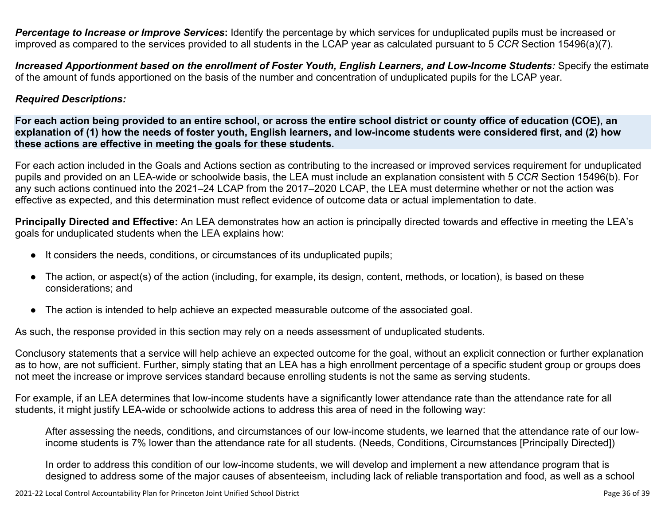*Percentage to Increase or Improve Services***:** Identify the percentage by which services for unduplicated pupils must be increased or improved as compared to the services provided to all students in the LCAP year as calculated pursuant to 5 *CCR* Section 15496(a)(7).

Increased Apportionment based on the enrollment of Foster Youth, English Learners, and Low-Income Students: Specify the estimate of the amount of funds apportioned on the basis of the number and concentration of unduplicated pupils for the LCAP year.

#### *Required Descriptions:*

For each action being provided to an entire school, or across the entire school district or county office of education (COE), an explanation of (1) how the needs of foster youth, English learners, and low-income students were considered first, and (2) how **these actions are effective in meeting the goals for these students.**

For each action included in the Goals and Actions section as contributing to the increased or improved services requirement for unduplicated pupils and provided on an LEA-wide or schoolwide basis, the LEA must include an explanation consistent with 5 *CCR* Section 15496(b). For any such actions continued into the 2021–24 LCAP from the 2017–2020 LCAP, the LEA must determine whether or not the action was effective as expected, and this determination must reflect evidence of outcome data or actual implementation to date.

**Principally Directed and Effective:** An LEA demonstrates how an action is principally directed towards and effective in meeting the LEA's goals for unduplicated students when the LEA explains how:

- It considers the needs, conditions, or circumstances of its unduplicated pupils;
- The action, or aspect(s) of the action (including, for example, its design, content, methods, or location), is based on these considerations; and
- The action is intended to help achieve an expected measurable outcome of the associated goal.

As such, the response provided in this section may rely on a needs assessment of unduplicated students.

Conclusory statements that a service will help achieve an expected outcome for the goal, without an explicit connection or further explanation as to how, are not sufficient. Further, simply stating that an LEA has a high enrollment percentage of a specific student group or groups does not meet the increase or improve services standard because enrolling students is not the same as serving students.

For example, if an LEA determines that low-income students have a significantly lower attendance rate than the attendance rate for all students, it might justify LEA-wide or schoolwide actions to address this area of need in the following way:

After assessing the needs, conditions, and circumstances of our low-income students, we learned that the attendance rate of our lowincome students is 7% lower than the attendance rate for all students. (Needs, Conditions, Circumstances [Principally Directed])

In order to address this condition of our low-income students, we will develop and implement a new attendance program that is designed to address some of the major causes of absenteeism, including lack of reliable transportation and food, as well as a school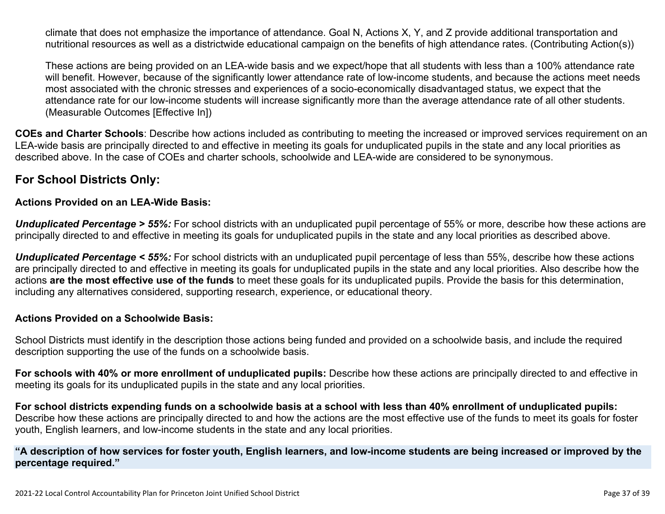climate that does not emphasize the importance of attendance. Goal N, Actions X, Y, and Z provide additional transportation and nutritional resources as well as a districtwide educational campaign on the benefits of high attendance rates. (Contributing Action(s))

These actions are being provided on an LEA-wide basis and we expect/hope that all students with less than a 100% attendance rate will benefit. However, because of the significantly lower attendance rate of low-income students, and because the actions meet needs most associated with the chronic stresses and experiences of a socio-economically disadvantaged status, we expect that the attendance rate for our low-income students will increase significantly more than the average attendance rate of all other students. (Measurable Outcomes [Effective In])

**COEs and Charter Schools**: Describe how actions included as contributing to meeting the increased or improved services requirement on an LEA-wide basis are principally directed to and effective in meeting its goals for unduplicated pupils in the state and any local priorities as described above. In the case of COEs and charter schools, schoolwide and LEA-wide are considered to be synonymous.

#### **For School Districts Only:**

#### **Actions Provided on an LEA-Wide Basis:**

*Unduplicated Percentage > 55%:* For school districts with an unduplicated pupil percentage of 55% or more, describe how these actions are principally directed to and effective in meeting its goals for unduplicated pupils in the state and any local priorities as described above.

*Unduplicated Percentage < 55%:* For school districts with an unduplicated pupil percentage of less than 55%, describe how these actions are principally directed to and effective in meeting its goals for unduplicated pupils in the state and any local priorities. Also describe how the actions **are the most effective use of the funds** to meet these goals for its unduplicated pupils. Provide the basis for this determination, including any alternatives considered, supporting research, experience, or educational theory.

#### **Actions Provided on a Schoolwide Basis:**

School Districts must identify in the description those actions being funded and provided on a schoolwide basis, and include the required description supporting the use of the funds on a schoolwide basis.

**For schools with 40% or more enrollment of unduplicated pupils:** Describe how these actions are principally directed to and effective in meeting its goals for its unduplicated pupils in the state and any local priorities.

For school districts expending funds on a schoolwide basis at a school with less than 40% enrollment of unduplicated pupils: Describe how these actions are principally directed to and how the actions are the most effective use of the funds to meet its goals for foster youth, English learners, and low-income students in the state and any local priorities.

#### "A description of how services for foster youth, English learners, and low-income students are being increased or improved by the **percentage required."**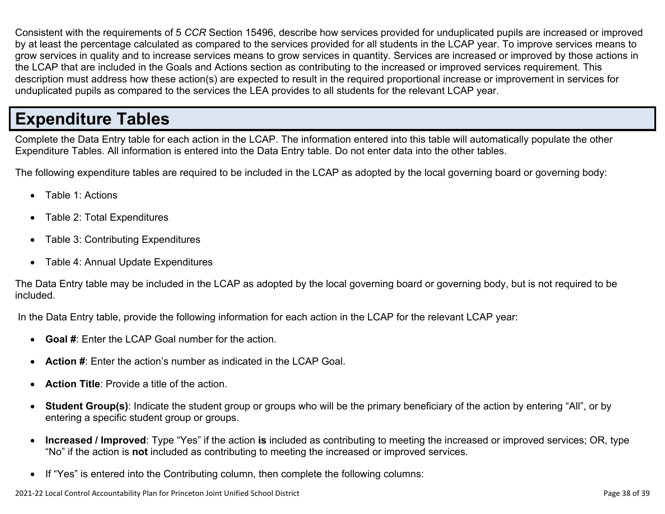Consistent with the requirements of 5 *CCR* Section 15496, describe how services provided for unduplicated pupils are increased or improved by at least the percentage calculated as compared to the services provided for all students in the LCAP year. To improve services means to grow services in quality and to increase services means to grow services in quantity. Services are increased or improved by those actions in the LCAP that are included in the Goals and Actions section as contributing to the increased or improved services requirement. This description must address how these action(s) are expected to result in the required proportional increase or improvement in services for unduplicated pupils as compared to the services the LEA provides to all students for the relevant LCAP year.

## **Expenditure Tables**

Complete the Data Entry table for each action in the LCAP. The information entered into this table will automatically populate the other Expenditure Tables. All information is entered into the Data Entry table. Do not enter data into the other tables.

The following expenditure tables are required to be included in the LCAP as adopted by the local governing board or governing body:

- Table 1: Actions
- Table 2: Total Expenditures
- Table 3: Contributing Expenditures
- Table 4: Annual Update Expenditures

The Data Entry table may be included in the LCAP as adopted by the local governing board or governing body, but is not required to be included.

In the Data Entry table, provide the following information for each action in the LCAP for the relevant LCAP year:

- **Goal #**: Enter the LCAP Goal number for the action.
- **Action #**: Enter the action's number as indicated in the LCAP Goal.
- **Action Title**: Provide a title of the action.
- **Student Group(s)**: Indicate the student group or groups who will be the primary beneficiary of the action by entering "All", or by entering a specific student group or groups.
- **Increased / Improved**: Type "Yes" if the action **is** included as contributing to meeting the increased or improved services; OR, type "No" if the action is **not** included as contributing to meeting the increased or improved services.
- If "Yes" is entered into the Contributing column, then complete the following columns: